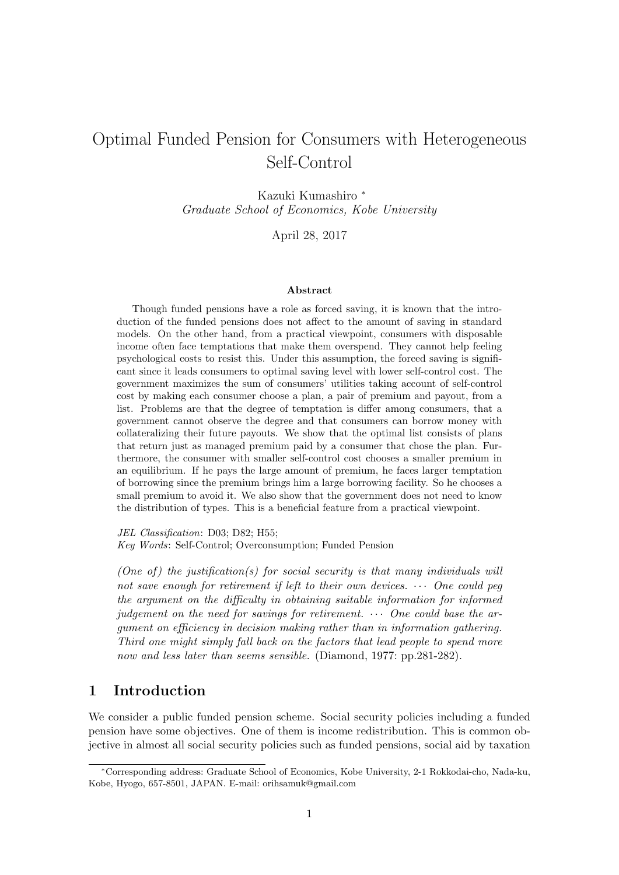# Optimal Funded Pension for Consumers with Heterogeneous Self-Control

Kazuki Kumashiro *<sup>∗</sup> Graduate School of Economics, Kobe University*

April 28, 2017

#### **Abstract**

Though funded pensions have a role as forced saving, it is known that the introduction of the funded pensions does not affect to the amount of saving in standard models. On the other hand, from a practical viewpoint, consumers with disposable income often face temptations that make them overspend. They cannot help feeling psychological costs to resist this. Under this assumption, the forced saving is significant since it leads consumers to optimal saving level with lower self-control cost. The government maximizes the sum of consumers' utilities taking account of self-control cost by making each consumer choose a plan, a pair of premium and payout, from a list. Problems are that the degree of temptation is differ among consumers, that a government cannot observe the degree and that consumers can borrow money with collateralizing their future payouts. We show that the optimal list consists of plans that return just as managed premium paid by a consumer that chose the plan. Furthermore, the consumer with smaller self-control cost chooses a smaller premium in an equilibrium. If he pays the large amount of premium, he faces larger temptation of borrowing since the premium brings him a large borrowing facility. So he chooses a small premium to avoid it. We also show that the government does not need to know the distribution of types. This is a beneficial feature from a practical viewpoint.

*JEL Classification*: D03; D82; H55; *Key Words*: Self-Control; Overconsumption; Funded Pension

*(One of) the justification(s) for social security is that many individuals will not save enough for retirement if left to their own devices. · · · One could peg the argument on the difficulty in obtaining suitable information for informed judgement on the need for savings for retirement. · · · One could base the argument on efficiency in decision making rather than in information gathering. Third one might simply fall back on the factors that lead people to spend more now and less later than seems sensible.* (Diamond, 1977: pp.281-282).

# **1 Introduction**

We consider a public funded pension scheme. [Social security](#page-29-0) policies including a funded pension have some objectives. One of them is income redistribution. This is common objective in almost all social security policies such as funded pensions, social aid by taxation

*<sup>∗</sup>*Corresponding address: Graduate School of Economics, Kobe University, 2-1 Rokkodai-cho, Nada-ku, Kobe, Hyogo, 657-8501, JAPAN. E-mail: orihsamuk@gmail.com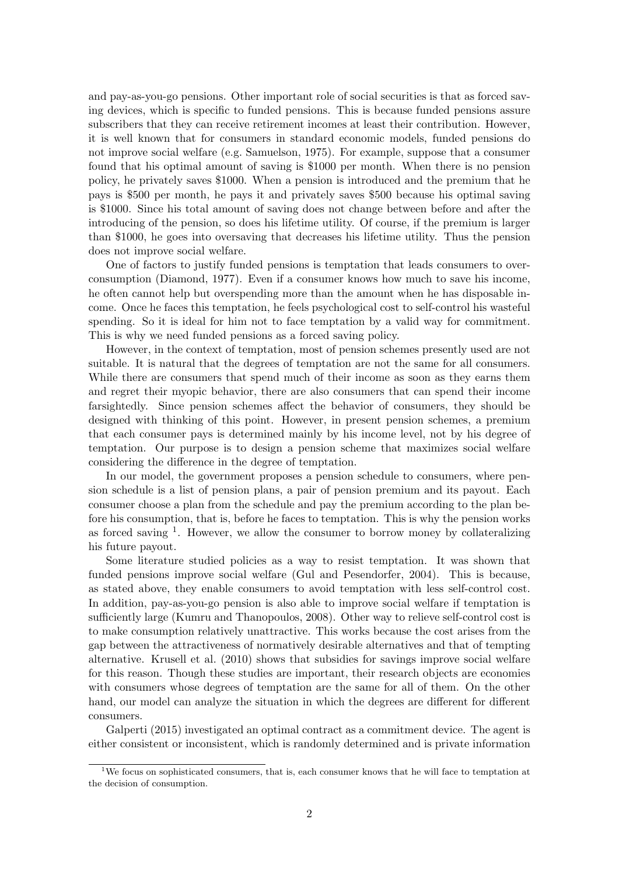and pay-as-you-go pensions. Other important role of social securities is that as forced saving devices, which is specific to funded pensions. This is because funded pensions assure subscribers that they can receive retirement incomes at least their contribution. However, it is well known that for consumers in standard economic models, funded pensions do not improve social welfare (e.g. Samuelson, 1975). For example, suppose that a consumer found that his optimal amount of saving is \$1000 per month. When there is no pension policy, he privately saves \$1000. When a pension is introduced and the premium that he pays is \$500 per month, he pays it and privately saves \$500 because his optimal saving is \$1000. Since his total amou[nt of saving](#page-30-0) [does](#page-30-0) not change between before and after the introducing of the pension, so does his lifetime utility. Of course, if the premium is larger than \$1000, he goes into oversaving that decreases his lifetime utility. Thus the pension does not improve social welfare.

One of factors to justify funded pensions is temptation that leads consumers to overconsumption (Diamond, 1977). Even if a consumer knows how much to save his income, he often cannot help but overspending more than the amount when he has disposable income. Once he faces this temptation, he feels psychological cost to self-control his wasteful spending. So it is ideal for him not to face temptation by a valid way for commitment. This is why w[e need funded p](#page-29-0)ensions as a forced saving policy.

However, in the context of temptation, most of pension schemes presently used are not suitable. It is natural that the degrees of temptation are not the same for all consumers. While there are consumers that spend much of their income as soon as they earns them and regret their myopic behavior, there are also consumers that can spend their income farsightedly. Since pension schemes affect the behavior of consumers, they should be designed with thinking of this point. However, in present pension schemes, a premium that each consumer pays is determined mainly by his income level, not by his degree of temptation. Our purpose is to design a pension scheme that maximizes social welfare considering the difference in the degree of temptation.

In our model, the government proposes a pension schedule to consumers, where pension schedule is a list of pension plans, a pair of pension premium and its payout. Each consumer choose a plan from the schedule and pay the premium according to the plan before his consumption, that is, before he faces to temptation. This is why the pension works as forced saving  $<sup>1</sup>$ . However, we allow the consumer to borrow money by collateralizing</sup> his future payout.

Some literature studied policies as a way to resist temptation. It was shown that funded pensions [i](#page-1-0)mprove social welfare (Gul and Pesendorfer, 2004). This is because, as stated above, they enable consumers to avoid temptation with less self-control cost. In addition, pay-as-you-go pension is also able to improve social welfare if temptation is sufficiently large (Kumru and Thanopoulos, 2008). Other way to relieve self-control cost is to make consumption relatively unattract[ive. This works becau](#page-29-1)s[e the](#page-29-1) cost arises from the gap between the attractiveness of normatively desirable alternatives and that of tempting alternative. Krusell et al. (2010) shows that subsidies for savings improve social welfare for this reason. T[hough these studies are import](#page-29-2)ant, their research objects are economies with consumers whose degrees of temptation are the same for all of them. On the other hand, our m[odel can analyze the](#page-29-3) situation in which the degrees are different for different consumers.

Galperti (2015) investigated an optimal contract as a commitment device. The agent is either consistent or inconsistent, which is randomly determined and is private information

<span id="page-1-0"></span><sup>&</sup>lt;sup>1</sup>We focus on sophisticated consumers, that is, each consumer knows that he will face to temptation at the [decision of](#page-29-4) [consum](#page-29-4)ption.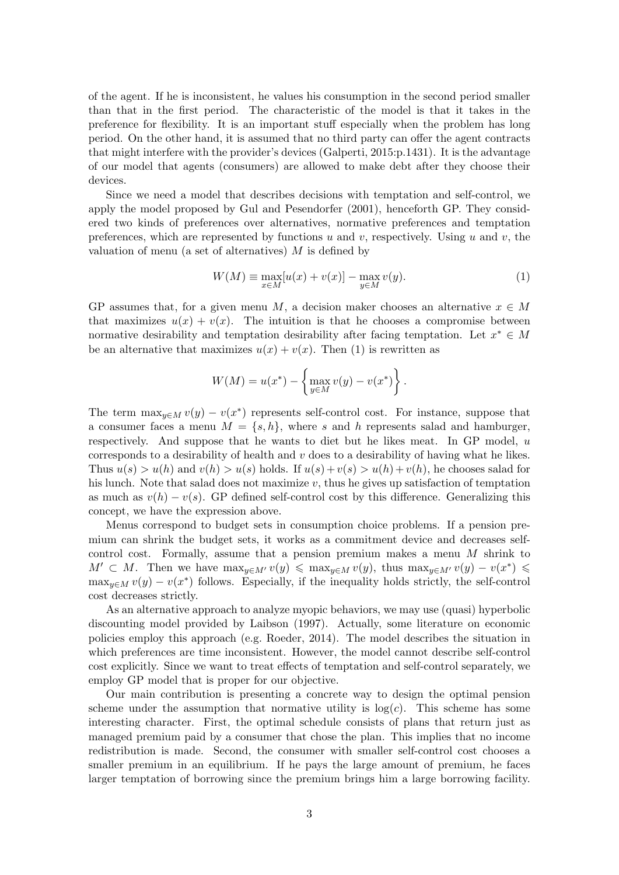of the agent. If he is inconsistent, he values his consumption in the second period smaller than that in the first period. The characteristic of the model is that it takes in the preference for flexibility. It is an important stuff especially when the problem has long period. On the other hand, it is assumed that no third party can offer the agent contracts that might interfere with the provider's devices (Galperti, 2015:p.1431). It is the advantage of our model that agents (consumers) are allowed to make debt after they choose their devices.

Since we need a model that describes decisions with temptation and self-control, we apply the model proposed by Gul and Pesend[orfer](#page-29-4) (200[1\), he](#page-29-4)nceforth GP. They considered two kinds of preferences over alternatives, normative preferences and temptation preferences, which are represented by functions *u* and *v*, respectively. Using *u* and *v*, the valuation of menu (a set of alt[ernatives\)](#page-29-5) *M* is define[d by](#page-29-5)

$$
W(M) \equiv \max_{x \in M} [u(x) + v(x)] - \max_{y \in M} v(y). \tag{1}
$$

GP assumes that, for a given menu *M*, a decision maker chooses an alternative  $x \in M$ that maximizes  $u(x) + v(x)$ . The intuition is that he chooses a compromise between normative desirability and temptation desirability after facing temptation. Let  $x^* \in M$ be an alternative that maximizes  $u(x) + v(x)$ . Then (1) is rewritten as

$$
W(M) = u(x^*) - \left\{\max_{y \in M} v(y) - v(x^*)\right\}.
$$

The term  $\max_{y \in M} v(y) - v(x^*)$  represents self-control cost. For instance, suppose that a consumer faces a menu  $M = \{s, h\}$ , where *s* and *h* represents salad and hamburger, respectively. And suppose that he wants to diet but he likes meat. In GP model, *u* corresponds to a desirability of health and *v* does to a desirability of having what he likes. Thus  $u(s) > u(h)$  and  $v(h) > u(s)$  holds. If  $u(s) + v(s) > u(h) + v(h)$ , he chooses salad for his lunch. Note that salad does not maximize *v*, thus he gives up satisfaction of temptation as much as  $v(h) - v(s)$ . GP defined self-control cost by this difference. Generalizing this concept, we have the expression above.

Menus correspond to budget sets in consumption choice problems. If a pension premium can shrink the budget sets, it works as a commitment device and decreases selfcontrol cost. Formally, assume that a pension premium makes a menu *M* shrink to  $M' \subset M$ . Then we have  $\max_{y \in M'} v(y) \leq \max_{y \in M} v(y)$ , thus  $\max_{y \in M'} v(y) - v(x^*) \leq$  $\max_{y \in M} v(y) - v(x^*)$  follows. Especially, if the inequality holds strictly, the self-control cost decreases strictly.

As an alternative approach to analyze myopic behaviors, we may use (quasi) hyperbolic discounting model provided by Laibson (1997). Actually, some literature on economic policies employ this approach (e.g. Roeder, 2014). The model describes the situation in which preferences are time inconsistent. However, the model cannot describe self-control cost explicitly. Since we want to treat effects of temptation and self-control separately, we employ GP model that is prope[r for our](#page-30-1) o[bject](#page-30-1)ive.

Our main contribution is prese[nting a](#page-30-2) [concr](#page-30-2)ete way to design the optimal pension scheme under the assumption that normative utility is  $log(c)$ . This scheme has some interesting character. First, the optimal schedule consists of plans that return just as managed premium paid by a consumer that chose the plan. This implies that no income redistribution is made. Second, the consumer with smaller self-control cost chooses a smaller premium in an equilibrium. If he pays the large amount of premium, he faces larger temptation of borrowing since the premium brings him a large borrowing facility.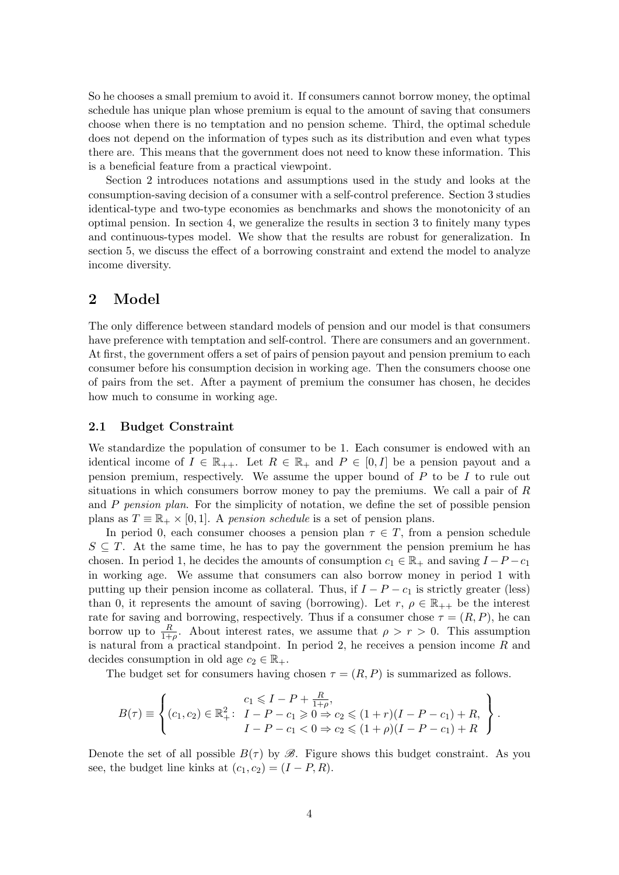So he chooses a small premium to avoid it. If consumers cannot borrow money, the optimal schedule has unique plan whose premium is equal to the amount of saving that consumers choose when there is no temptation and no pension scheme. Third, the optimal schedule does not depend on the information of types such as its distribution and even what types there are. This means that the government does not need to know these information. This is a beneficial feature from a practical viewpoint.

Section 2 introduces notations and assumptions used in the study and looks at the consumption-saving decision of a consumer with a self-control preference. Section 3 studies identical-type and two-type economies as benchmarks and shows the monotonicity of an optimal pension. In section 4, we generalize the results in section 3 to finitely many types and continuous-types model. We show that the results are robust for generalization. In section 5, we discuss the effect of a borrowing constraint and extend the model to analyze income diversity.

# **2 Model**

The only difference between standard models of pension and our model is that consumers have preference with temptation and self-control. There are consumers and an government. At first, the government offers a set of pairs of pension payout and pension premium to each consumer before his consumption decision in working age. Then the consumers choose one of pairs from the set. After a payment of premium the consumer has chosen, he decides how much to consume in working age.

#### **2.1 Budget Constraint**

We standardize the population of consumer to be 1. Each consumer is endowed with an identical income of  $I \in \mathbb{R}_{++}$ . Let  $R \in \mathbb{R}_+$  and  $P \in [0, I]$  be a pension payout and a pension premium, respectively. We assume the upper bound of *P* to be *I* to rule out situations in which consumers borrow money to pay the premiums. We call a pair of *R* and *P pension plan*. For the simplicity of notation, we define the set of possible pension plans as  $T \equiv \mathbb{R}_+ \times [0, 1]$ . A *pension schedule* is a set of pension plans.

In period 0, each consumer chooses a pension plan  $\tau \in T$ , from a pension schedule *S ⊆ T*. At the same time, he has to pay the government the pension premium he has chosen. In period 1, he decides the amounts of consumption  $c_1 \in \mathbb{R}_+$  and saving  $I - P - c_1$ in working age. We assume that consumers can also borrow money in period 1 with putting up their pension income as collateral. Thus, if  $I - P - c_1$  is strictly greater (less) than 0, it represents the amount of saving (borrowing). Let  $r, \rho \in \mathbb{R}_{++}$  be the interest rate for saving and borrowing, respectively. Thus if a consumer chose  $\tau = (R, P)$ , he can borrow up to  $\frac{R}{1+\rho}$ . About interest rates, we assume that  $\rho > r > 0$ . This assumption is natural from a practical standpoint. In period 2, he receives a pension income *R* and decides consumption in old age  $c_2 \in \mathbb{R}_+$ .

The budget set for consumers having chosen  $\tau = (R, P)$  is summarized as follows.

$$
B(\tau) \equiv \left\{ (c_1, c_2) \in \mathbb{R}_+^2: \begin{array}{l} c_1 \leqslant I - P + \frac{R}{1+\rho}, \\ I - P - c_1 \geqslant 0 \Rightarrow c_2 \leqslant (1+r)(I - P - c_1) + R, \\ I - P - c_1 < 0 \Rightarrow c_2 \leqslant (1+\rho)(I - P - c_1) + R \end{array} \right\}.
$$

Denote the set of all possible  $B(\tau)$  by  $\mathscr{B}$ . Figure shows this budget constraint. As you see, the budget line kinks at  $(c_1, c_2) = (I - P, R)$ .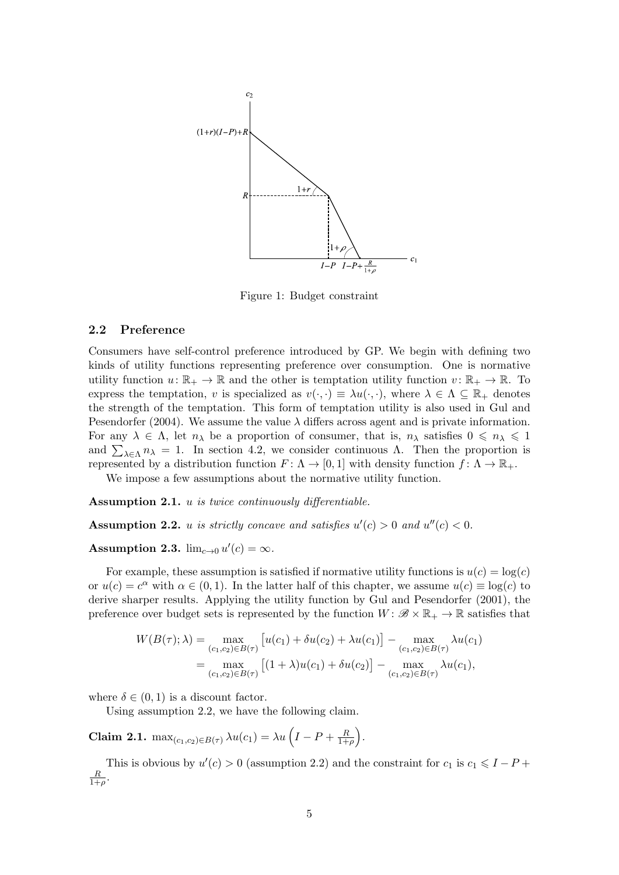

Figure 1: Budget constraint

#### **2.2 Preference**

Consumers have self-control preference introduced by GP. We begin with defining two kinds of utility functions representing preference over consumption. One is normative utility function  $u: \mathbb{R}_+ \to \mathbb{R}$  and the other is temptation utility function  $v: \mathbb{R}_+ \to \mathbb{R}$ . To express the temptation, *v* is specialized as  $v(\cdot, \cdot) \equiv \lambda u(\cdot, \cdot)$ , where  $\lambda \in \Lambda \subseteq \mathbb{R}_+$  denotes the strength of the temptation. This form of temptation utility is also used in Gul and Pesendorfer (2004). We assume the value  $\lambda$  differs across agent and is private information. For any  $\lambda \in \Lambda$ , let  $n_{\lambda}$  be a proportion of consumer, that is,  $n_{\lambda}$  satisfies  $0 \leq n_{\lambda} \leq 1$ and  $\sum_{\lambda \in \Lambda} n_{\lambda} = 1$ . In section 4.2, we consider continuous  $\Lambda$ . Then the prop[ortion is](#page-29-1) represented by a distribution function  $F: \Lambda \to [0,1]$  with density function  $f: \Lambda \to \mathbb{R}_+$ .

[We impose a fe](#page-29-1)w assumptions about the normative utility function.

**Assumption 2.1.** *u is twice continuously differentiable.*

**Assumption 2.2.** *u is strictly concave and satisfies*  $u'(c) > 0$  *and*  $u''(c) < 0$ .

**Assumption 2.3.**  $\lim_{c\to 0} u'(c) = \infty$ .

<span id="page-4-1"></span><span id="page-4-0"></span>For example, these assumption is satisfied if normative utility functions is  $u(c) = \log(c)$ or  $u(c) = c^{\alpha}$  with  $\alpha \in (0, 1)$ . In the latter half of this chapter, we assume  $u(c) \equiv \log(c)$  to derive sharper results. Applying the utility function by Gul and Pesendorfer (2001), the preference over budget sets is represented by the function  $W: \mathscr{B} \times \mathbb{R}_+ \to \mathbb{R}$  satisfies that

$$
W(B(\tau);\lambda) = \max_{(c_1,c_2)\in B(\tau)} [u(c_1) + \delta u(c_2) + \lambda u(c_1)] - \max_{(c_1,c_2)\in B(\tau)} \lambda u(c_1)
$$
  
= 
$$
\max_{(c_1,c_2)\in B(\tau)} [(1+\lambda)u(c_1) + \delta u(c_2)] - \max_{(c_1,c_2)\in B(\tau)} \lambda u(c_1),
$$

where  $\delta \in (0,1)$  is a discount factor.

Using assumption 2.2, we have the following claim.

**Claim 2.1.**  $\max_{(c_1, c_2) \in B(\tau)} \lambda u(c_1) = \lambda u \left( I - P + \frac{R}{1 + R}\right)$ 1+*ρ* ) *.*

This is obvio[u](#page-4-0)s by  $u'(c) > 0$  (assumption 2.2) and the constraint for  $c_1$  is  $c_1 \leq I - P +$ *R*  $\frac{R}{1+\rho}$ .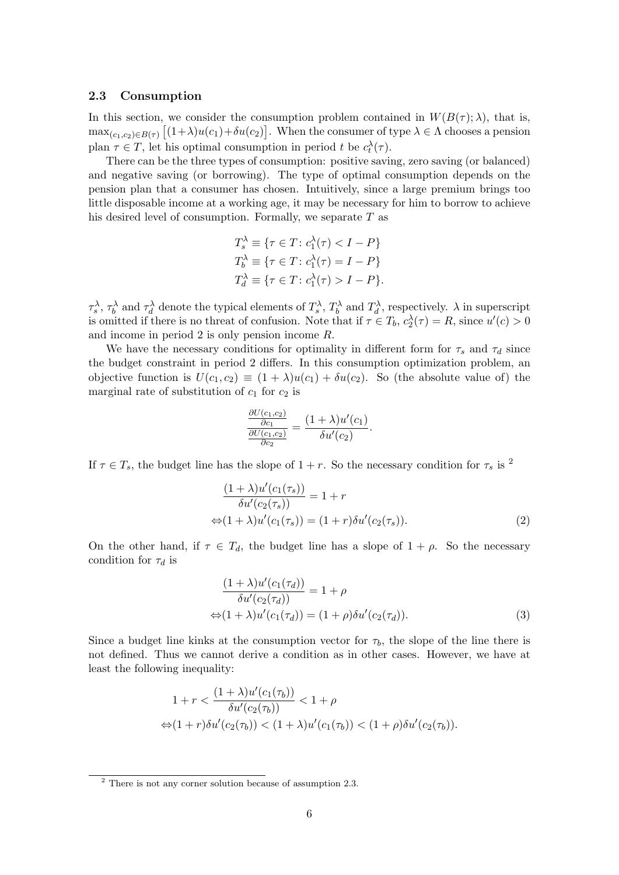#### **2.3 Consumption**

In this section, we consider the consumption problem contained in  $W(B(\tau);\lambda)$ , that is,  $\max_{(c_1,c_2)\in B(\tau)} [(1+\lambda)u(c_1)+\delta u(c_2)].$  When the consumer of type  $\lambda \in \Lambda$  chooses a pension plan  $\tau \in T$ , let his optimal consumption in period *t* be  $c_t^{\lambda}(\tau)$ .

There can be the three types of consumption: positive saving, zero saving (or balanced) and negative saving (or borrowing). The type of optimal consumption depends on the pension plan that a consumer has chosen. Intuitively, since a large premium brings too little disposable income at a working age, it may be necessary for him to borrow to achieve his desired level of consumption. Formally, we separate *T* as

$$
T_s^{\lambda} \equiv \{ \tau \in T \colon c_1^{\lambda}(\tau) < I - P \}
$$
\n
$$
T_b^{\lambda} \equiv \{ \tau \in T \colon c_1^{\lambda}(\tau) = I - P \}
$$
\n
$$
T_d^{\lambda} \equiv \{ \tau \in T \colon c_1^{\lambda}(\tau) > I - P \}.
$$

 $\tau_s^{\lambda}, \tau_b^{\lambda}$  and  $\tau_d^{\lambda}$  denote the typical elements of  $T_s^{\lambda}, T_b^{\lambda}$  and  $T_d^{\lambda}$ , respectively.  $\lambda$  in superscript is omitted if there is no threat of confusion. Note that if  $\tau \in T_b$ ,  $c_2^{\lambda}(\tau) = R$ , since  $u'(c) > 0$ and income in period 2 is only pension income *R*.

We have the necessary conditions for optimality in different form for  $\tau_s$  and  $\tau_d$  since the budget constraint in period 2 differs. In this consumption optimization problem, an objective function is  $U(c_1, c_2) \equiv (1 + \lambda)u(c_1) + \delta u(c_2)$ . So (the absolute value of) the marginal rate of substitution of  $c_1$  for  $c_2$  is

$$
\frac{\frac{\partial U(c_1,c_2)}{\partial c_1}}{\frac{\partial U(c_1,c_2)}{\partial c_2}} = \frac{(1+\lambda)u'(c_1)}{\delta u'(c_2)}.
$$

If  $\tau \in T_s$ , the budget line has the slope of  $1 + r$ . So the necessary condition for  $\tau_s$  is <sup>2</sup>

$$
\frac{(1+\lambda)u'(c_1(\tau_s))}{\delta u'(c_2(\tau_s))} = 1+r
$$
  
\n
$$
\Leftrightarrow (1+\lambda)u'(c_1(\tau_s)) = (1+r)\delta u'(c_2(\tau_s)).
$$
\n(2)

On the other hand, if  $\tau \in T_d$ , the budget line has a slope of  $1 + \rho$ . So the necessary condition for *τ<sup>d</sup>* is

$$
\frac{(1+\lambda)u'(c_1(\tau_d))}{\delta u'(c_2(\tau_d))} = 1 + \rho
$$
  
\n
$$
\Leftrightarrow (1+\lambda)u'(c_1(\tau_d)) = (1+\rho)\delta u'(c_2(\tau_d)).
$$
\n(3)

Since a budget line kinks at the consumption vector for  $\tau_b$ , the slope of the line there is not defined. Thus we cannot derive a condition as in other cases. However, we have at least the following inequality:

$$
1+r<\frac{(1+\lambda)u'(c_1(\tau_b))}{\delta u'(c_2(\tau_b))}<1+\rho
$$
  

$$
\Leftrightarrow (1+r)\delta u'(c_2(\tau_b))<(1+\lambda)u'(c_1(\tau_b))<(1+\rho)\delta u'(c_2(\tau_b)).
$$

 $2$  There is not any corner solution because of assumption 2.3.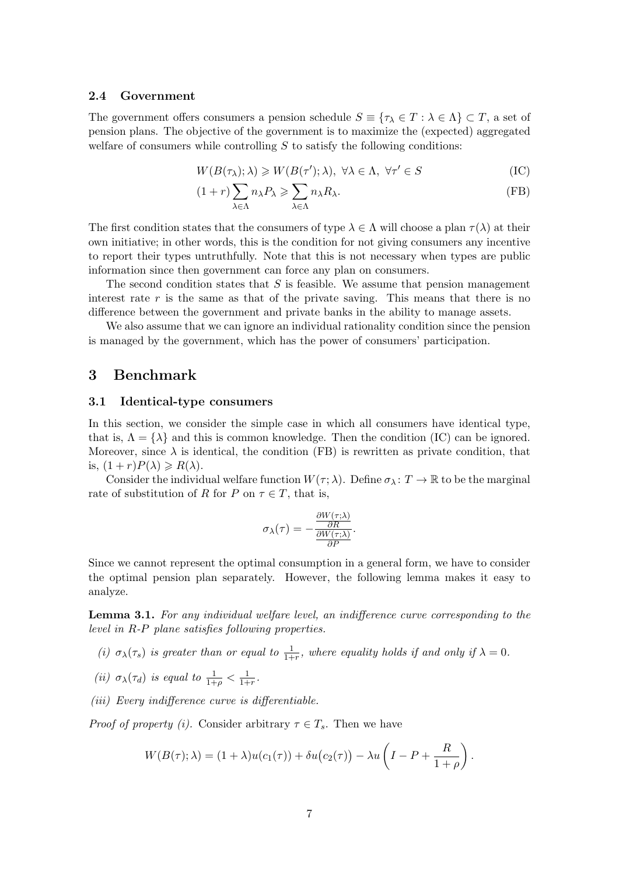#### **2.4 Government**

The government offers consumers a pension schedule  $S \equiv \{ \tau_\lambda \in T : \lambda \in \Lambda \} \subset T$ , a set of pension plans. The objective of the government is to maximize the (expected) aggregated welfare of consumers while controlling *S* to satisfy the following conditions:

$$
W(B(\tau_{\lambda}); \lambda) \geq W(B(\tau'); \lambda), \ \forall \lambda \in \Lambda, \ \forall \tau' \in S
$$
 (IC)

<span id="page-6-1"></span><span id="page-6-0"></span>
$$
(1+r)\sum_{\lambda\in\Lambda}n_{\lambda}P_{\lambda}\geqslant\sum_{\lambda\in\Lambda}n_{\lambda}R_{\lambda}.\tag{FB}
$$

The first condition states that the consumers of type  $\lambda \in \Lambda$  will choose a plan  $\tau(\lambda)$  at their own initiative; in other words, this is the condition for not giving consumers any incentive to report their types untruthfully. Note that this is not necessary when types are public information since then government can force any plan on consumers.

The second condition states that *S* is feasible. We assume that pension management interest rate *r* is the same as that of the private saving. This means that there is no difference between the government and private banks in the ability to manage assets.

We also assume that we can ignore an individual rationality condition since the pension is managed by the government, which has the power of consumers' participation.

### **3 Benchmark**

#### **3.1 Identical-type consumers**

In this section, we consider the simple case in which all consumers have identical type, that is,  $\Lambda = {\lambda}$  and this is common knowledge. Then the condition (IC) can be ignored. Moreover, since  $\lambda$  is identical, the condition (FB) is rewritten as private condition, that is,  $(1 + r)P(\lambda) \ge R(\lambda)$ .

Consider the individual welfare function  $W(\tau; \lambda)$ . Define  $\sigma_{\lambda}: T \to \mathbb{R}$  $\sigma_{\lambda}: T \to \mathbb{R}$  $\sigma_{\lambda}: T \to \mathbb{R}$  to be the marginal rate of substitution of *R* for *P* on  $\tau \in T$ , that [is,](#page-6-1)

$$
\sigma_{\lambda}(\tau) = -\frac{\frac{\partial W(\tau;\lambda)}{\partial R}}{\frac{\partial W(\tau;\lambda)}{\partial P}}.
$$

Since we cannot represent the optimal consumption in a general form, we have to consider the optimal pension plan separately. However, the following lemma makes it easy to analyze.

**Lemma 3.1.** *For any individual welfare level, an indifference curve corresponding to the level in R-P plane satisfies following properties.*

- <span id="page-6-2"></span>*(i)*  $\sigma_{\lambda}(\tau_s)$  *is greater than or equal to*  $\frac{1}{1+r}$ *, where equality holds if and only if*  $\lambda = 0$ *.*
- *(ii)*  $\sigma_{\lambda}(\tau_d)$  *is equal to*  $\frac{1}{1+\rho} < \frac{1}{1+\rho}$  $\frac{1}{1+r}$ .
- *(iii) Every indifference curve is differentiable.*

*Proof of property (i).* Consider arbitrary  $\tau \in T_s$ . Then we have

$$
W(B(\tau);\lambda) = (1+\lambda)u(c_1(\tau)) + \delta u(c_2(\tau)) - \lambda u\left(I - P + \frac{R}{1+\rho}\right).
$$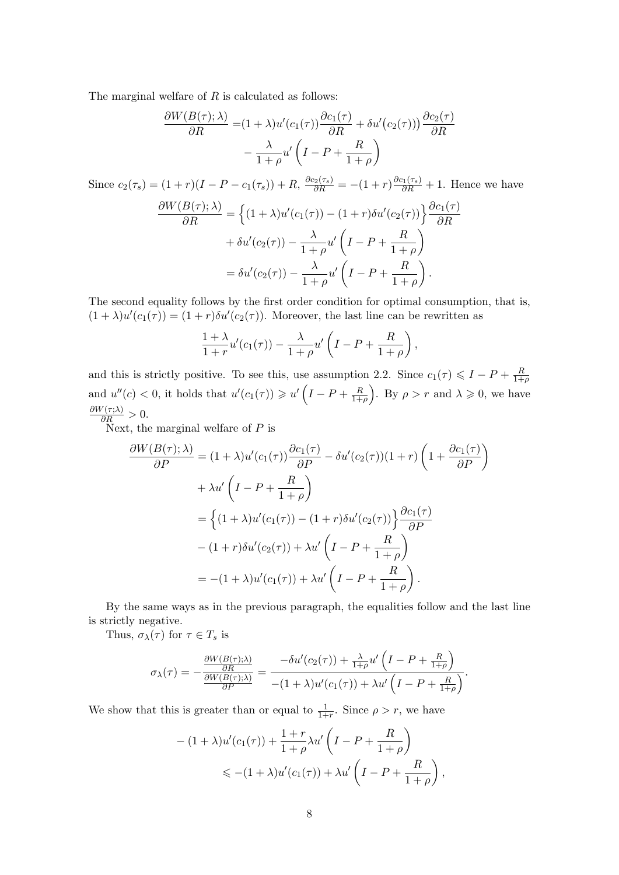The marginal welfare of *R* is calculated as follows:

$$
\frac{\partial W(B(\tau);\lambda)}{\partial R} = (1+\lambda)u'(c_1(\tau))\frac{\partial c_1(\tau)}{\partial R} + \delta u'(c_2(\tau)))\frac{\partial c_2(\tau)}{\partial R} - \frac{\lambda}{1+\rho}u'\left(I - P + \frac{R}{1+\rho}\right)
$$

Since  $c_2(\tau_s) = (1+r)(I-P-c_1(\tau_s)) + R$ ,  $\frac{\partial c_2(\tau_s)}{\partial R} = -(1+r)\frac{\partial c_1(\tau_s)}{\partial R} + 1$ . Hence we have  $\frac{\partial W(B(\tau);\lambda)}{\partial R} = \left\{ (1+\lambda)u'(c_1(\tau)) - (1+r)\delta u'(c_2(\tau)) \right\} \frac{\partial c_1(\tau)}{\partial R}$  $+\delta u'(c_2(\tau)) - \frac{\lambda}{1+\lambda}$  $\frac{\lambda}{1+\rho}u'\bigg($  $I - P + \frac{R}{1}$  $1 + \rho$  $\setminus$  $= \delta u'(c_2(\tau)) - \frac{\lambda}{1+\lambda}$  $\frac{\lambda}{1+\rho}u'\bigg($  $I-P+\frac{R}{1+}$  $1 + \rho$  $\setminus$ *.*

The second equality follows by the first order condition for optimal consumption, that is,  $(1 + \lambda)u'(c_1(\tau)) = (1 + r)\delta u'(c_2(\tau))$ . Moreover, the last line can be rewritten as

$$
\frac{1+\lambda}{1+r}u'(c_1(\tau))-\frac{\lambda}{1+\rho}u'\left(I-P+\frac{R}{1+\rho}\right),\,
$$

and this is strictly positive. To see this, use assumption 2.2. Since  $c_1(\tau) \leqslant I - P + \frac{R}{1+\tau}$ 1+*ρ* and  $u''(c) < 0$ , it holds that  $u'(c_1(\tau)) \geq u'(I - P + \frac{R}{1+\tau})$  $\overline{1+\rho}$ ). By  $\rho > r$  and  $\lambda \geqslant 0$ , we have  $\frac{\partial W(\tau;\lambda)}{\partial R} > 0.$ 

Next, the marginal welfare of *P* is

$$
\frac{\partial W(B(\tau);\lambda)}{\partial P} = (1+\lambda)u'(c_1(\tau))\frac{\partial c_1(\tau)}{\partial P} - \delta u'(c_2(\tau))(1+r)\left(1+\frac{\partial c_1(\tau)}{\partial P}\right)
$$

$$
+\lambda u'\left(I-P+\frac{R}{1+\rho}\right)
$$

$$
= \left\{(1+\lambda)u'(c_1(\tau)) - (1+r)\delta u'(c_2(\tau))\right\}\frac{\partial c_1(\tau)}{\partial P}
$$

$$
-(1+r)\delta u'(c_2(\tau)) + \lambda u'\left(I-P+\frac{R}{1+\rho}\right)
$$

$$
= -(1+\lambda)u'(c_1(\tau)) + \lambda u'\left(I-P+\frac{R}{1+\rho}\right).
$$

By the same ways as in the previous paragraph, the equalities follow and the last line is strictly negative.

Thus,  $\sigma_{\lambda}(\tau)$  for  $\tau \in T_s$  is

$$
\sigma_\lambda(\tau) = -\frac{\frac{\partial W(B(\tau);\lambda)}{\partial R}}{\frac{\partial W(B(\tau);\lambda)}{\partial P}} = \frac{-\delta u'(c_2(\tau)) + \frac{\lambda}{1+\rho}u'\left(I-P + \frac{R}{1+\rho}\right)}{-(1+\lambda)u'(c_1(\tau)) + \lambda u'\left(I-P + \frac{R}{1+\rho}\right)}.
$$

We show that this is greater than or equal to  $\frac{1}{1+r}$ . Since  $\rho > r$ , we have

$$
-(1+\lambda)u'(c_1(\tau)) + \frac{1+r}{1+\rho}\lambda u'\left(I - P + \frac{R}{1+\rho}\right)
$$
  
\$\leq - (1+\lambda)u'(c\_1(\tau)) + \lambda u'\left(I - P + \frac{R}{1+\rho}\right),\$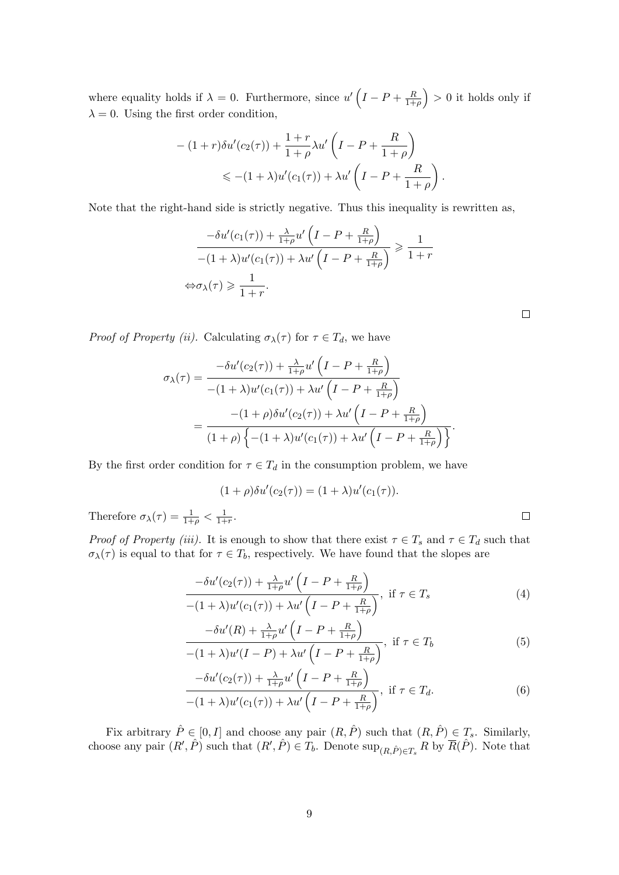where equality holds if  $\lambda = 0$ . Furthermore, since  $u' (I - P + \frac{R}{1 + R})$ 1+*ρ*  $\big) > 0$  it holds only if  $\lambda = 0$ . Using the first order condition,

$$
-(1+r)\delta u'(c_2(\tau)) + \frac{1+r}{1+\rho}\lambda u'\left(I - P + \frac{R}{1+\rho}\right)
$$
  
\$\leq - (1+\lambda)u'(c\_1(\tau)) + \lambda u'\left(I - P + \frac{R}{1+\rho}\right)\$

*.*

 $\Box$ 

Note that the right-hand side is strictly negative. Thus this inequality is rewritten as,

$$
\frac{-\delta u'(c_1(\tau)) + \frac{\lambda}{1+\rho}u'\left(I - P + \frac{R}{1+\rho}\right)}{-(1+\lambda)u'(c_1(\tau)) + \lambda u'\left(I - P + \frac{R}{1+\rho}\right)} \geqslant \frac{1}{1+r}
$$
  

$$
\Leftrightarrow \sigma_{\lambda}(\tau) \geqslant \frac{1}{1+r}.
$$

*Proof of Property (ii).* Calculating  $\sigma_{\lambda}(\tau)$  for  $\tau \in T_d$ , we have

Therefore *σλ*(*τ* ) = <sup>1</sup>

$$
\sigma_{\lambda}(\tau) = \frac{-\delta u'(c_2(\tau)) + \frac{\lambda}{1+\rho} u'\left(I - P + \frac{R}{1+\rho}\right)}{-(1+\lambda)u'(c_1(\tau)) + \lambda u'\left(I - P + \frac{R}{1+\rho}\right)}
$$
  
= 
$$
\frac{-(1+\rho)\delta u'(c_2(\tau)) + \lambda u'\left(I - P + \frac{R}{1+\rho}\right)}{(1+\rho)\left\{-(1+\lambda)u'(c_1(\tau)) + \lambda u'\left(I - P + \frac{R}{1+\rho}\right)\right\}}.
$$

By the first order condition for  $\tau \in T_d$  in the consumption problem, we have

$$
(1+\rho)\delta u'(c_2(\tau)) = (1+\lambda)u'(c_1(\tau)).
$$
  

$$
\sigma_{\lambda}(\tau) = \frac{1}{1+\rho} < \frac{1}{1+r}.
$$

*Proof of Property (iii).* It is enough to show that there exist  $\tau \in T_s$  and  $\tau \in T_d$  such that  $\sigma_{\lambda}(\tau)$  is equal to that for  $\tau \in T_b$ , respectively. We have found that the slopes are

$$
\frac{-\delta u'(c_2(\tau)) + \frac{\lambda}{1+\rho} u'\left(I - P + \frac{R}{1+\rho}\right)}{-(1+\lambda)u'(c_1(\tau)) + \lambda u'\left(I - P + \frac{R}{1+\rho}\right)}, \text{ if } \tau \in T_s
$$
\n
$$
(4)
$$

$$
\frac{-\delta u'(R) + \frac{\lambda}{1+\rho} u'\left(I - P + \frac{R}{1+\rho}\right)}{-(1+\lambda)u'(I - P) + \lambda u'\left(I - P + \frac{R}{1+\rho}\right)}, \text{ if } \tau \in T_b \tag{5}
$$

$$
\frac{-\delta u'(c_2(\tau)) + \frac{\lambda}{1+\rho} u'\left(I - P + \frac{R}{1+\rho}\right)}{-(1+\lambda)u'(c_1(\tau)) + \lambda u'\left(I - P + \frac{R}{1+\rho}\right)}, \text{ if } \tau \in T_d.
$$
\n
$$
(6)
$$

Fix arbitrary  $\hat{P} \in [0, I]$  and choose any pair  $(R, \hat{P})$  such that  $(R, \hat{P}) \in T_s$ . Similarly, choose any pair  $(R', \hat{P})$  such that  $(R', \hat{P}) \in T_b$ . Denote  $\sup_{(R, \hat{P}) \in T_s} R$  by  $\overline{R}(\hat{P})$ . Note that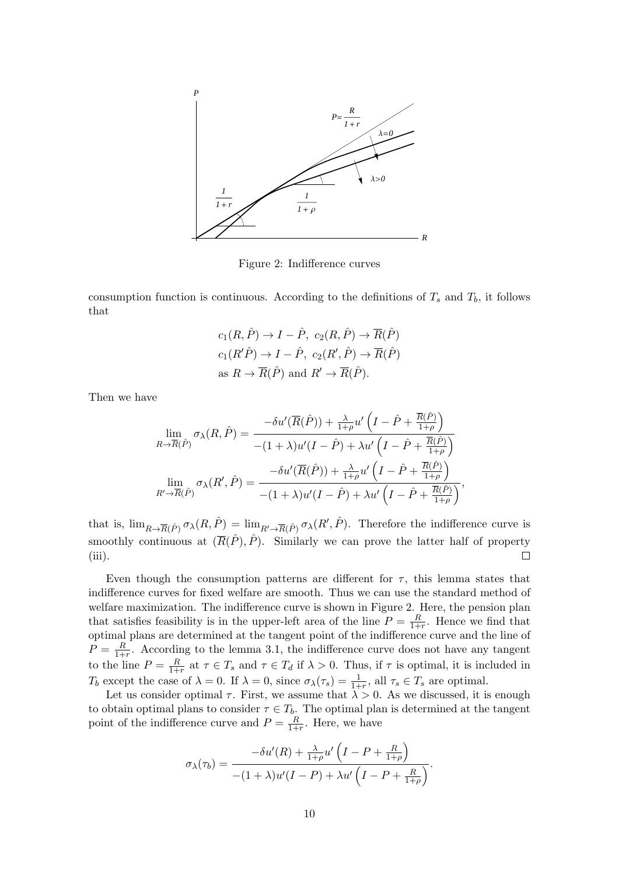

<span id="page-9-0"></span>Figure 2: Indifference curves

consumption function is continuous. According to the definitions of  $T_s$  and  $T_b$ , it follows that

$$
c_1(R, \hat{P}) \to I - \hat{P}, c_2(R, \hat{P}) \to \overline{R}(\hat{P})
$$
  

$$
c_1(R'\hat{P}) \to I - \hat{P}, c_2(R', \hat{P}) \to \overline{R}(\hat{P})
$$
  
as  $R \to \overline{R}(\hat{P})$  and  $R' \to \overline{R}(\hat{P})$ .

Then we have

$$
\lim_{R \to \overline{R}(\hat{P})} \sigma_{\lambda}(R, \hat{P}) = \frac{-\delta u'(\overline{R}(\hat{P})) + \frac{\lambda}{1+\rho} u'\left(I - \hat{P} + \frac{\overline{R}(\hat{P})}{1+\rho}\right)}{-(1+\lambda)u'(I - \hat{P}) + \lambda u'\left(I - \hat{P} + \frac{\overline{R}(\hat{P})}{1+\rho}\right)}
$$

$$
\lim_{R' \to \overline{R}(\hat{P})} \sigma_{\lambda}(R', \hat{P}) = \frac{-\delta u'(\overline{R}(\hat{P})) + \frac{\lambda}{1+\rho} u'\left(I - \hat{P} + \frac{\overline{R}(\hat{P})}{1+\rho}\right)}{-(1+\lambda)u'(I - \hat{P}) + \lambda u'\left(I - \hat{P} + \frac{\overline{R}(\hat{P})}{1+\rho}\right)},
$$

that is,  $\lim_{R\to\overline{R}(\hat{P})}\sigma_{\lambda}(R,\hat{P}) = \lim_{R'\to\overline{R}(\hat{P})}\sigma_{\lambda}(R',\hat{P})$ . Therefore the indifference curve is smoothly continuous at  $(\overline{R}(\hat{P}), \hat{P})$ . Similarly we can prove the latter half of property  $\Box$  $(iii)$ .

Even though the consumption patterns are different for  $\tau$ , this lemma states that indifference curves for fixed welfare are smooth. Thus we can use the standard method of welfare maximization. The indifference curve is shown in Figure 2. Here, the pension plan that satisfies feasibility is in the upper-left area of the line  $P = \frac{R}{1+}$  $\frac{R}{1+r}$ . Hence we find that optimal plans are determined at the tangent point of the indifference curve and the line of  $P = \frac{R}{1+}$  $\frac{R}{1+r}$ . According to the lemma 3.1, the indifference curve does not have any tangent to the line  $P = \frac{R}{1+r}$  $\frac{R}{1+r}$  at  $\tau \in T_s$  and  $\tau \in T_d$  if  $\lambda > 0$ . Thus, if  $\tau$  is [o](#page-9-0)ptimal, it is included in *T*<sup>*b*</sup> except the case of  $\lambda = 0$ . If  $\lambda = 0$ , since  $\sigma_{\lambda}(\tau_s) = \frac{1}{1+r}$ , all  $\tau_s \in T_s$  are optimal.

Let us consider optimal  $\tau$ . First[, we](#page-6-2) assume that  $\lambda > 0$ . As we discussed, it is enough to obtain optimal plans to consider  $\tau \in T_b$ . The optimal plan is determined at the tangent point of the indifference curve and  $P = \frac{R}{1+r}$  $\frac{R}{1+r}$ . Here, we have

$$
\sigma_{\lambda}(\tau_b) = \frac{-\delta u'(R) + \frac{\lambda}{1+\rho}u'\left(I - P + \frac{R}{1+\rho}\right)}{-(1+\lambda)u'(I - P) + \lambda u'\left(I - P + \frac{R}{1+\rho}\right)}.
$$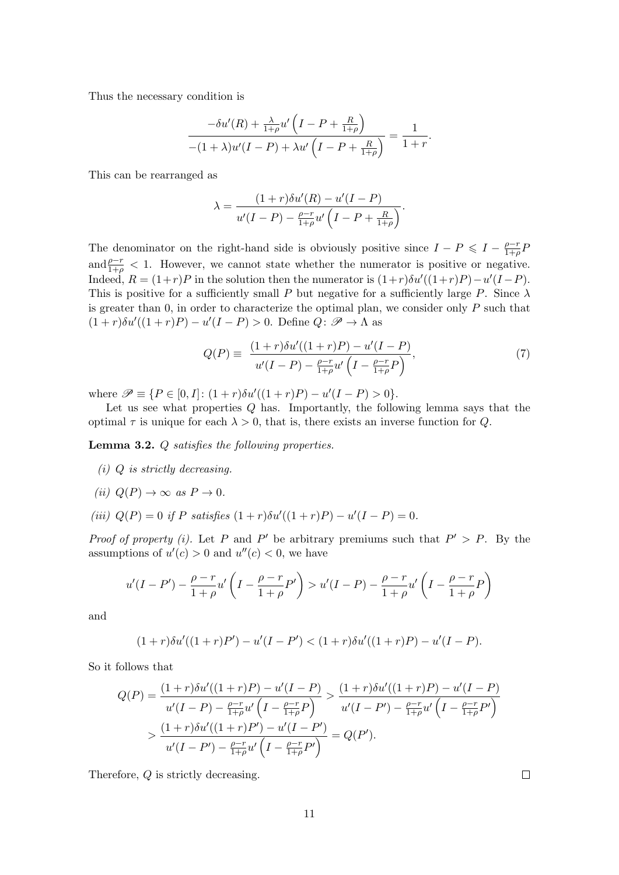Thus the necessary condition is

$$
\frac{-\delta u'(R) + \frac{\lambda}{1+\rho}u'\left(I - P + \frac{R}{1+\rho}\right)}{-(1+\lambda)u'(I - P) + \lambda u'\left(I - P + \frac{R}{1+\rho}\right)} = \frac{1}{1+r}.
$$

This can be rearranged as

$$
\lambda = \frac{(1+r)\delta u'(R) - u'(I-P)}{u'(I-P) - \frac{\rho - r}{1+\rho}u'\left(I-P + \frac{R}{1+\rho}\right)}.
$$

The denominator on the right-hand side is obviously positive since  $I - P \leqslant I - \frac{\rho - r}{1 + \rho}$  $\frac{\rho-r}{1+\rho}F$ and  $\frac{\rho-r}{1+\rho}$  < 1. However, we cannot state whether the numerator is positive or negative. Indeed,  $R = (1+r)P$  in the solution then the numerator is  $(1+r)\delta u'((1+r)P) - u'(I-P)$ . This is positive for a sufficiently small *P* but negative for a sufficiently large *P*. Since  $\lambda$ is greater than 0, in order to characterize the optimal plan, we consider only *P* such that  $(1 + r)\delta u'((1 + r)P) - u'(I - P) > 0$ . Define  $Q: \mathcal{P} \to \Lambda$  as

$$
Q(P) \equiv \frac{(1+r)\delta u'((1+r)P) - u'(I-P)}{u'(I-P) - \frac{\rho - r}{1+\rho}u'\left(I - \frac{\rho - r}{1+\rho}P\right)},\tag{7}
$$

where  $\mathscr{P} \equiv \{ P \in [0, I] : (1+r)\delta u'((1+r)P) - u'(I-P) > 0 \}.$ 

Let us see what properties *Q* has. Importantly, the following lemma says that the optimal  $\tau$  is unique for each  $\lambda > 0$ , that is, there exists an inverse function for *Q*.

<span id="page-10-0"></span>**Lemma 3.2.** *Q satisfies the following properties.*

- *(i) Q is strictly decreasing.*
- $(iii)$   $Q(P) \rightarrow \infty$  *as*  $P \rightarrow 0$ *.*
- $(iii)$   $Q(P) = 0$  *if P satisfies*  $(1 + r)\delta u'((1 + r)P) u'(I P) = 0$ *.*

*Proof of property (i).* Let *P* and *P*<sup> $\prime$ </sup> be arbitrary premiums such that  $P' > P$ . By the assumptions of  $u'(c) > 0$  and  $u''(c) < 0$ , we have

$$
u'(I - P') - \frac{\rho - r}{1 + \rho} u'\left(I - \frac{\rho - r}{1 + \rho}P'\right) > u'(I - P) - \frac{\rho - r}{1 + \rho} u'\left(I - \frac{\rho - r}{1 + \rho}P\right)
$$

and

$$
(1+r)\delta u'((1+r)P') - u'(I-P') < (1+r)\delta u'((1+r)P) - u'(I-P).
$$

So it follows that

$$
Q(P) = \frac{(1+r)\delta u'((1+r)P) - u'(I-P)}{u'(I-P) - \frac{\rho-r}{1+\rho}u'\left(I-\frac{\rho-r}{1+\rho}P\right)} > \frac{(1+r)\delta u'((1+r)P) - u'(I-P)}{u'(I-P') - \frac{\rho-r}{1+\rho}u'\left(I-\frac{\rho-r}{1+\rho}P'\right)}
$$
  
> 
$$
\frac{(1+r)\delta u'((1+r)P') - u'(I-P')}{u'(I-P') - \frac{\rho-r}{1+\rho}u'\left(I-\frac{\rho-r}{1+\rho}P'\right)} = Q(P').
$$

Therefore, *Q* is strictly decreasing.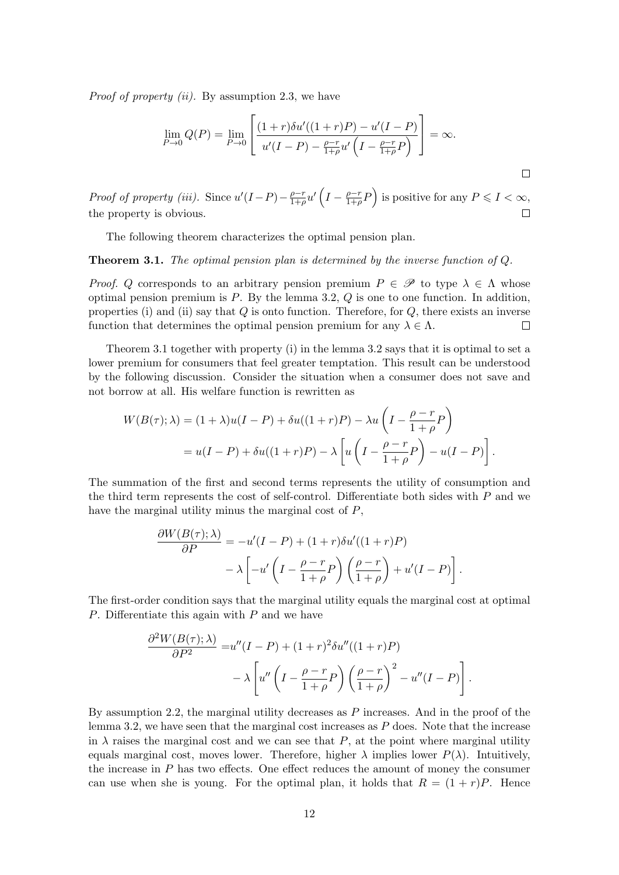*Proof of property (ii).* By assumption 2.3, we have

$$
\lim_{P \to 0} Q(P) = \lim_{P \to 0} \left[ \frac{(1+r)\delta u'((1+r)P) - u'(I-P)}{u'(I-P) - \frac{\rho - r}{1+\rho}u'\left(I - \frac{\rho - r}{1+\rho}P\right)} \right] = \infty.
$$

 $\Box$ 

 $\frac{\rho-r}{1+\rho}u'\left(I-\frac{\rho-r}{1+\rho}\right)$  $\left(\frac{\rho-r}{1+\rho}P\right)$  is positive for any  $P \leqslant I < \infty$ , *Proof of property (iii).* Since  $u'(I-P) - \frac{\rho - r}{1+\rho}$ the property is obvious.  $\Box$ 

The following theorem characterizes the optimal pension plan.

**Theorem 3.1.** *The optimal pension plan is determined by the inverse function of Q.*

<span id="page-11-0"></span>*Proof. Q* corresponds to an arbitrary pension premium  $P \in \mathcal{P}$  to type  $\lambda \in \Lambda$  whose optimal pension premium is *P*. By the lemma 3.2, *Q* is one to one function. In addition, properties (i) and (ii) say that *Q* is onto function. Therefore, for *Q*, there exists an inverse function that determines the optimal pension premium for any  $\lambda \in \Lambda$ .  $\Box$ 

Theorem 3.1 together with property (i) in t[he le](#page-10-0)mma 3.2 says that it is optimal to set a lower premium for consumers that feel greater temptation. This result can be understood by the following discussion. Consider the situation when a consumer does not save and not borrow a[t al](#page-11-0)l. His welfare function is rewritten as

$$
W(B(\tau);\lambda) = (1+\lambda)u(I-P) + \delta u((1+r)P) - \lambda u \left(I - \frac{\rho - r}{1+\rho}P\right)
$$
  
=  $u(I-P) + \delta u((1+r)P) - \lambda \left[u\left(I - \frac{\rho - r}{1+\rho}P\right) - u(I-P)\right].$ 

The summation of the first and second terms represents the utility of consumption and the third term represents the cost of self-control. Differentiate both sides with *P* and we have the marginal utility minus the marginal cost of *P*,

$$
\frac{\partial W(B(\tau);\lambda)}{\partial P} = -u'(I-P) + (1+r)\delta u'((1+r)P)
$$

$$
-\lambda \left[ -u'\left(I - \frac{\rho - r}{1+\rho}P\right)\left(\frac{\rho - r}{1+\rho}\right) + u'(I-P) \right].
$$

The first-order condition says that the marginal utility equals the marginal cost at optimal *P*. Differentiate this again with *P* and we have

$$
\frac{\partial^2 W(B(\tau);\lambda)}{\partial P^2} = u''(I-P) + (1+r)^2 \delta u''((1+r)P)
$$

$$
- \lambda \left[ u''\left(I - \frac{\rho - r}{1+\rho}P\right) \left(\frac{\rho - r}{1+\rho}\right)^2 - u''(I-P) \right].
$$

By assumption 2.2, the marginal utility decreases as *P* increases. And in the proof of the lemma 3.2, we have seen that the marginal cost increases as *P* does. Note that the increase in  $\lambda$  raises the marginal cost and we can see that *P*, at the point where marginal utility equals marginal cost, moves lower. Therefore, higher  $\lambda$  implies lower  $P(\lambda)$ . Intuitively, the increase in *[P](#page-4-0)* has two effects. One effect reduces the amount of money the consumer can us[e w](#page-10-0)hen she is young. For the optimal plan, it holds that  $R = (1 + r)P$ . Hence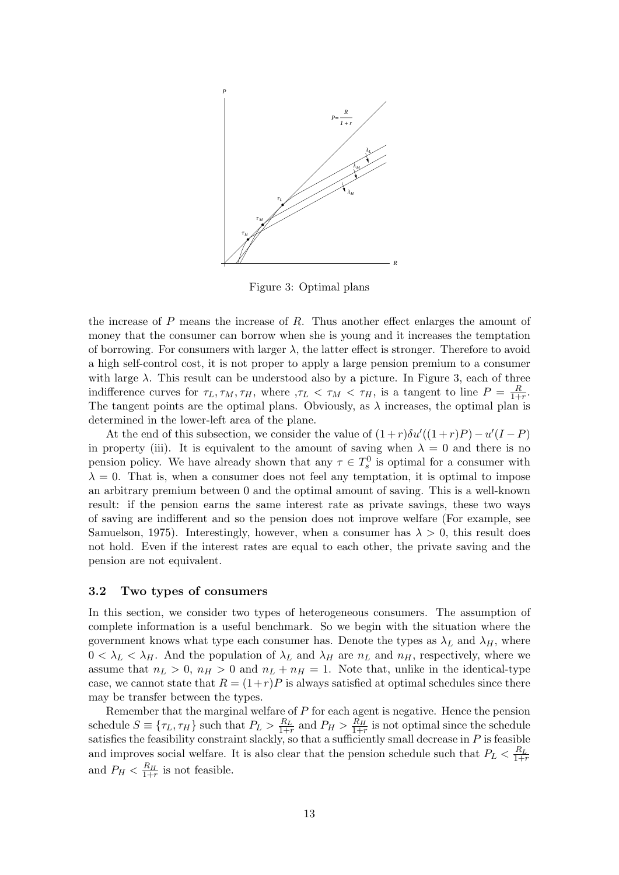

<span id="page-12-0"></span>Figure 3: Optimal plans

the increase of *P* means the increase of *R*. Thus another effect enlarges the amount of money that the consumer can borrow when she is young and it increases the temptation of borrowing. For consumers with larger  $\lambda$ , the latter effect is stronger. Therefore to avoid a high self-control cost, it is not proper to apply a large pension premium to a consumer with large  $\lambda$ . This result can be understood also by a picture. In Figure 3, each of three indifference curves for  $\tau_L, \tau_M, \tau_H$ , where  $\tau_L < \tau_M < \tau_H$ , is a tangent to line  $P = \frac{R}{1+}$  $\frac{R}{1+r}$ . The tangent points are the optimal plans. Obviously, as  $\lambda$  increases, the optimal plan is determined in the lower-left area of the plane.

At the end of this subsection, we consider the value of  $(1+r)\delta u'((1+r)P) - u'(I-P)$  $(1+r)\delta u'((1+r)P) - u'(I-P)$  $(1+r)\delta u'((1+r)P) - u'(I-P)$ in property (iii). It is equivalent to the amount of saving when  $\lambda = 0$  and there is no pension policy. We have already shown that any  $\tau \in T_s^0$  is optimal for a consumer with  $\lambda = 0$ . That is, when a consumer does not feel any temptation, it is optimal to impose an arbitrary premium between 0 and the optimal amount of saving. This is a well-known result: if the pension earns the same interest rate as private savings, these two ways of saving are indifferent and so the pension does not improve welfare (For example, see Samuelson, 1975). Interestingly, however, when a consumer has  $\lambda > 0$ , this result does not hold. Even if the interest rates are equal to each other, the private saving and the pension are not equivalent.

#### **[3.2 Two typ](#page-30-0)es of consumers**

In this section, we consider two types of heterogeneous consumers. The assumption of complete information is a useful benchmark. So we begin with the situation where the government knows what type each consumer has. Denote the types as  $\lambda_L$  and  $\lambda_H$ , where  $0 < \lambda_L < \lambda_H$ . And the population of  $\lambda_L$  and  $\lambda_H$  are  $n_L$  and  $n_H$ , respectively, where we assume that  $n_L > 0$ ,  $n_H > 0$  and  $n_L + n_H = 1$ . Note that, unlike in the identical-type case, we cannot state that  $R = (1+r)P$  is always satisfied at optimal schedules since there may be transfer between the types.

Remember that the marginal welfare of *P* for each agent is negative. Hence the pension schedule  $S \equiv \{\tau_L, \tau_H\}$  such that  $P_L > \frac{R_L}{1+r}$  and  $P_H > \frac{R_H}{1+r}$  is not optimal since the schedule satisfies the feasibility constraint slackly, so that a sufficiently small decrease in  $P$  is feasible and improves social welfare. It is also clear that the pension schedule such that  $P_L < \frac{R_L}{1+r}$ and  $P_H < \frac{R_H}{1+r}$  is not feasible.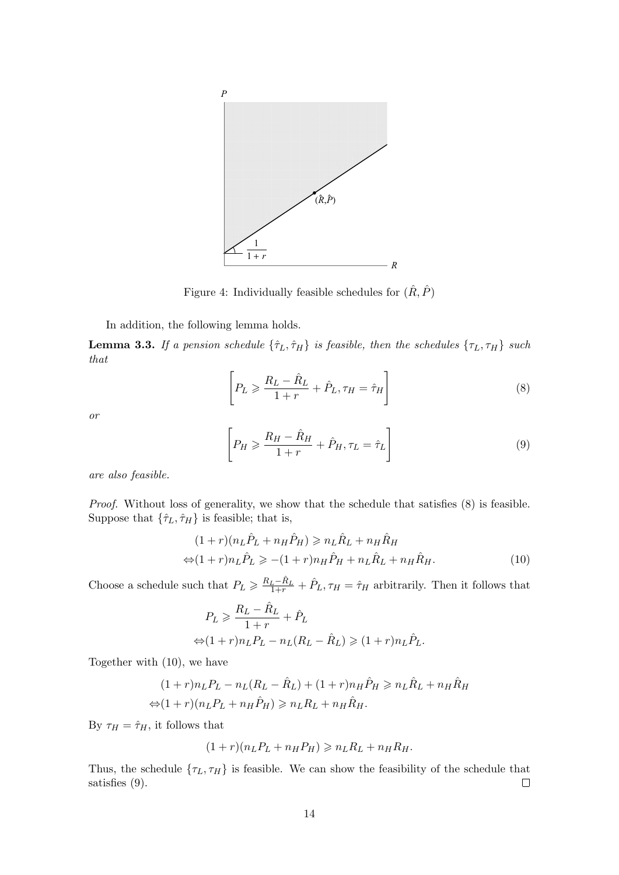

Figure 4: Individually feasible schedules for  $(\hat{R},\hat{P})$ 

In addition, the following lemma holds.

**Lemma 3.3.** *If a pension schedule*  $\{\hat{\tau}_L, \hat{\tau}_H\}$  *is feasible, then the schedules*  $\{\tau_L, \tau_H\}$  *such that*

<span id="page-13-0"></span>
$$
\left[P_L \geqslant \frac{R_L - \hat{R}_L}{1+r} + \hat{P}_L, \tau_H = \hat{\tau}_H\right]
$$
\n<sup>(8)</sup>

<span id="page-13-1"></span>*or*

$$
\left[P_H \geqslant \frac{R_H - \hat{R}_H}{1+r} + \hat{P}_H, \tau_L = \hat{\tau}_L\right]
$$
\n<sup>(9)</sup>

*are also feasible.*

*Proof.* Without loss of generality, we show that the schedule that satisfies  $(8)$  is feasible. Suppose that  $\{\hat{\tau}_L,\hat{\tau}_H\}$  is feasible; that is,

$$
(1+r)(nL\hat{P}_L + nH\hat{P}_H) \ge nL\hat{R}_L + nH\hat{R}_H
$$
  

$$
\Leftrightarrow (1+r)nL\hat{P}_L \ge -(1+r)nH\hat{P}_H + nL\hat{R}_L + nH\hat{R}_H.
$$
(10)

Choose a schedule such that  $P_L \geqslant \frac{R_L - \hat{R}_L}{1+r} + \hat{P}_L, \tau_H = \hat{\tau}_H$  arbitrarily. Then it follows that

$$
P_L \ge \frac{R_L - \hat{R}_L}{1+r} + \hat{P}_L
$$
  

$$
\Leftrightarrow (1+r)n_L P_L - n_L (R_L - \hat{R}_L) \ge (1+r)n_L \hat{P}_L.
$$

Together with (10), we have

$$
(1+r)nLPL - nL(RL - \hat{R}L) + (1+r)nH\hat{P}H \ge nL\hat{R}L + nH\hat{R}H
$$
  

$$
\Leftrightarrow (1+r)(nLPL + nH\hat{P}H) \ge nLRL + nH\hat{R}H.
$$

By  $\tau_H = \hat{\tau}_H$ , it follows that

$$
(1+r)(nLPL + nHPH) \geqslant nLRL + nHRH.
$$

Thus, the schedule  $\{\tau_L, \tau_H\}$  is feasible. We can show the feasibility of the schedule that satisfies (9).  $\Box$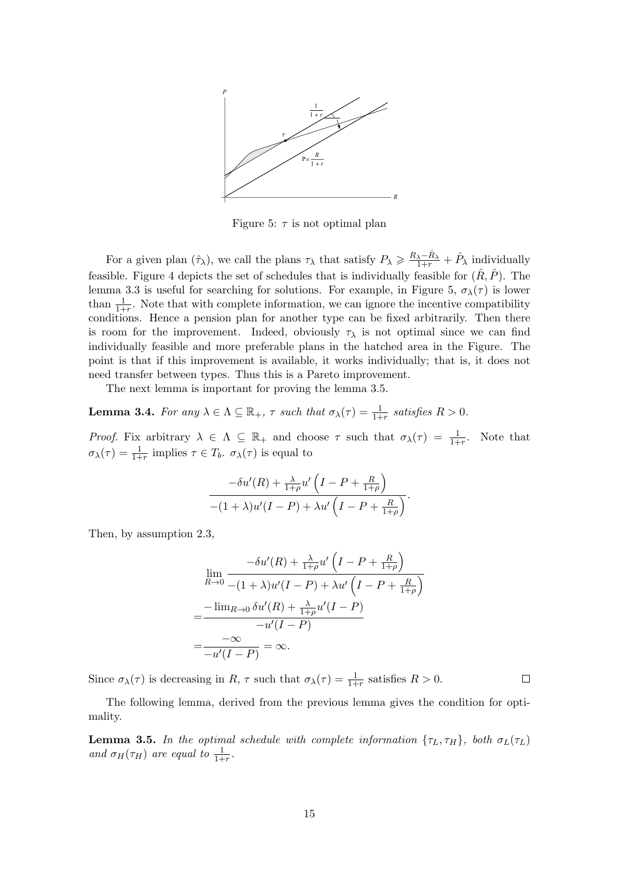

<span id="page-14-0"></span>Figure 5:  $\tau$  is not optimal plan

For a given plan  $(\hat{\tau}_{\lambda})$ , we call the plans  $\tau_{\lambda}$  that satisfy  $P_{\lambda} \geq \frac{R_{\lambda} - \hat{R}_{\lambda}}{1+r} + \hat{P}_{\lambda}$  individually feasible. Figure 4 depicts the set of schedules that is individually feasible for  $(R, P)$ . The lemma 3.3 is useful for searching for solutions. For example, in Figure 5,  $\sigma_{\lambda}(\tau)$  is lower than  $\frac{1}{1+r}$ . Note that with complete information, we can ignore the incentive compatibility conditions. Hence a pension plan for another type can be fixed arbitrarily. Then there is room for the [i](#page-13-0)mprovement. Indeed, obviously  $\tau_{\lambda}$  is not optimal since we can find individ[uall](#page-13-1)y feasible and more preferable plans in the hatched area in [th](#page-14-0)e Figure. The point is that if this improvement is available, it works individually; that is, it does not need transfer between types. Thus this is a Pareto improvement.

The next lemma is important for proving the lemma 3.5.

**Lemma 3.4.** For any  $\lambda \in \Lambda \subseteq \mathbb{R}_+$ ,  $\tau$  such that  $\sigma_{\lambda}(\tau) = \frac{1}{1+r}$  satisfies  $R > 0$ .

*Proof.* Fix arbitrary  $\lambda \in \Lambda \subseteq \mathbb{R}_+$  and choose  $\tau$  such [tha](#page-14-1)t  $\sigma_\lambda(\tau) = \frac{1}{1+r}$ . Note that  $\sigma_{\lambda}(\tau) = \frac{1}{1+r}$  implies  $\tau \in T_b$ .  $\sigma_{\lambda}(\tau)$  is equal to

$$
\frac{-\delta u'(R) + \frac{\lambda}{1+\rho}u'\left(I-P+\frac{R}{1+\rho}\right)}{-(1+\lambda)u'(I-P) + \lambda u'\left(I-P+\frac{R}{1+\rho}\right)}.
$$

Then, by assumption 2.3,

$$
\lim_{R \to 0} \frac{-\delta u'(R) + \frac{\lambda}{1+\rho} u'\left(I - P + \frac{R}{1+\rho}\right)}{-(1+\lambda)u'(I - P) + \lambda u'\left(I - P + \frac{R}{1+\rho}\right)}
$$
\n
$$
= \frac{-\lim_{R \to 0} \delta u'(R) + \frac{\lambda}{1+\rho} u'(I - P)}{-u'(I - P)}
$$
\n
$$
= \frac{-\infty}{-u'(I - P)} = \infty.
$$

Since  $\sigma_{\lambda}(\tau)$  is decreasing in *R*,  $\tau$  such that  $\sigma_{\lambda}(\tau) = \frac{1}{1+r}$  satisfies *R* > 0.

The following lemma, derived from the previous lemma gives the condition for optimality.

 $\Box$ 

<span id="page-14-1"></span>**Lemma 3.5.** In the optimal schedule with complete information  $\{\tau_L, \tau_H\}$ , both  $\sigma_L(\tau_L)$ *and*  $\sigma_H(\tau_H)$  *are equal to*  $\frac{1}{1+r}$ *.*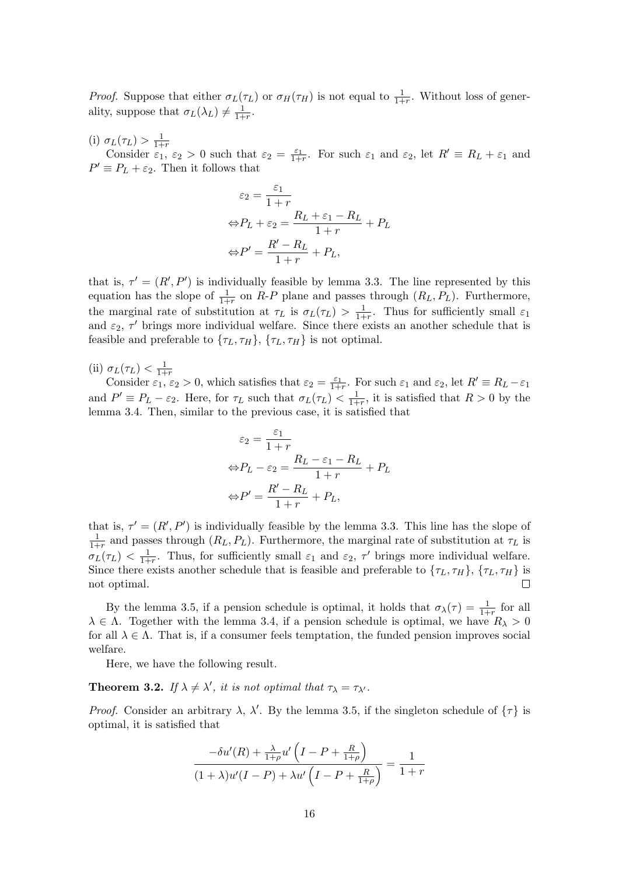*Proof.* Suppose that either  $\sigma_L(\tau_L)$  or  $\sigma_H(\tau_H)$  is not equal to  $\frac{1}{1+r}$ . Without loss of generality, suppose that  $\sigma_L(\lambda_L) \neq \frac{1}{1+1}$  $\frac{1}{1+r}$ .

(i)  $\sigma_L(\tau_L) > \frac{1}{1+1}$ 1+*r*

Consider  $\varepsilon_1$ ,  $\varepsilon_2 > 0$  such that  $\varepsilon_2 = \frac{\varepsilon_1}{1+r}$ . For such  $\varepsilon_1$  and  $\varepsilon_2$ , let  $R' \equiv R_L + \varepsilon_1$  and  $P' \equiv P_L + \varepsilon_2$ . Then it follows that

$$
\varepsilon_2 = \frac{\varepsilon_1}{1+r}
$$
  
\n
$$
\Leftrightarrow P_L + \varepsilon_2 = \frac{R_L + \varepsilon_1 - R_L}{1+r} + P_L
$$
  
\n
$$
\Leftrightarrow P' = \frac{R' - R_L}{1+r} + P_L,
$$

that is,  $\tau' = (R', P')$  is individually feasible by lemma 3.3. The line represented by this equation has the slope of  $\frac{1}{1+r}$  on *R-P* plane and passes through  $(R_L, P_L)$ . Furthermore, the marginal rate of substitution at  $\tau_L$  is  $\sigma_L(\tau_L) > \frac{1}{1+1}$  $\frac{1}{1+r}$ . Thus for sufficiently small  $\varepsilon_1$ and  $\varepsilon_2$ ,  $\tau'$  brings more individual welfare. Since there exists an another schedule that is feasible and preferable to  $\{\tau_L, \tau_H\}$ ,  $\{\tau_L, \tau_H\}$  is not opti[mal.](#page-13-1)

(ii)  $\sigma_L(\tau_L) < \frac{1}{1+1}$ 1+*r*

Consider  $\varepsilon_1, \varepsilon_2 > 0$ , which satisfies that  $\varepsilon_2 = \frac{\varepsilon_1}{1+r}$ . For such  $\varepsilon_1$  and  $\varepsilon_2$ , let  $R' \equiv R_L - \varepsilon_1$ and  $P' \equiv P_L - \varepsilon_2$ . Here, for  $\tau_L$  such that  $\sigma_L(\tau_L) < \frac{1}{1+\varepsilon_2}$  $\frac{1}{1+r}$ , it is satisfied that  $R > 0$  by the lemma 3.4. Then, similar to the previous case, it is satisfied that

$$
\varepsilon_2 = \frac{\varepsilon_1}{1+r}
$$
  
\n
$$
\Leftrightarrow P_L - \varepsilon_2 = \frac{R_L - \varepsilon_1 - R_L}{1+r} + P_L
$$
  
\n
$$
\Leftrightarrow P' = \frac{R' - R_L}{1+r} + P_L,
$$

that is,  $\tau' = (R', P')$  is individually feasible by the lemma 3.3. This line has the slope of 1  $\frac{1}{1+r}$  and passes through  $(R_L, P_L)$ . Furthermore, the marginal rate of substitution at  $\tau_L$  is  $\sigma_L(\tau_L) \, < \, \frac{1}{1+1}$  $\frac{1}{1+r}$ . Thus, for sufficiently small  $\varepsilon_1$  and  $\varepsilon_2$ ,  $\tau'$  brings more individual welfare. Since there exists another schedule that is feasible and pre[fera](#page-13-1)ble to  $\{\tau_L, \tau_H\}$ ,  $\{\tau_L, \tau_H\}$  is not optimal.  $\Box$ 

By the lemma 3.5, if a pension schedule is optimal, it holds that  $\sigma_{\lambda}(\tau) = \frac{1}{1+r}$  for all  $\lambda \in \Lambda$ . Together with the lemma 3.4, if a pension schedule is optimal, we have  $R_{\lambda} > 0$ for all  $\lambda \in \Lambda$ . That is, if a consumer feels temptation, the funded pension improves social welfare.

Here, we have [the](#page-14-1) following result.

**Theorem 3.2.** *If*  $\lambda \neq \lambda'$ , *it is not optimal that*  $\tau_{\lambda} = \tau_{\lambda'}$ *.* 

*Proof.* Consider an arbitrary  $\lambda$ ,  $\lambda'$ . By the lemma 3.5, if the singleton schedule of  $\{\tau\}$  is optimal, it is satisfied that

$$
\frac{-\delta u'(R) + \frac{\lambda}{1+\rho}u'\left(I - P + \frac{R}{1+\rho}\right)}{(1+\lambda)u'(I - P) + \lambda u'\left(I - P + \frac{R}{1+\rho}\right)} = \frac{1}{1+r}
$$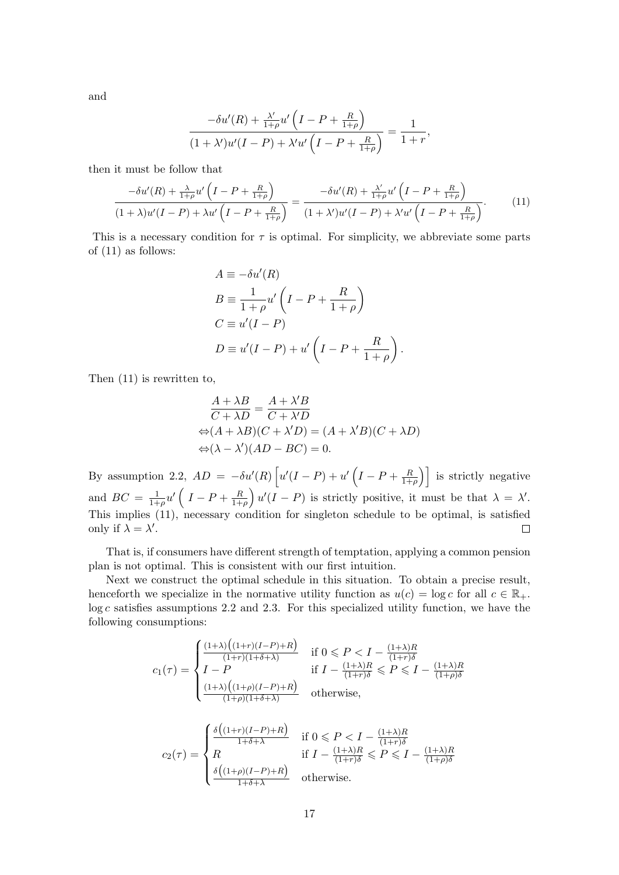and

$$
\frac{-\delta u'(R) + \frac{\lambda'}{1+\rho}u'\left(I - P + \frac{R}{1+\rho}\right)}{(1+\lambda')u'(I - P) + \lambda'u'\left(I - P + \frac{R}{1+\rho}\right)} = \frac{1}{1+r},
$$

then it must be follow that

$$
\frac{-\delta u'(R) + \frac{\lambda}{1+\rho}u'\left(I - P + \frac{R}{1+\rho}\right)}{(1+\lambda)u'(I - P) + \lambda u'\left(I - P + \frac{R}{1+\rho}\right)} = \frac{-\delta u'(R) + \frac{\lambda'}{1+\rho}u'\left(I - P + \frac{R}{1+\rho}\right)}{(1+\lambda')u'(I - P) + \lambda'u'\left(I - P + \frac{R}{1+\rho}\right)}.
$$
(11)

This is a necessary condition for  $\tau$  is optimal. For simplicity, we abbreviate some parts of (11) as follows:

<span id="page-16-0"></span>
$$
A \equiv -\delta u'(R)
$$
  
\n
$$
B \equiv \frac{1}{1+\rho} u'\left(I - P + \frac{R}{1+\rho}\right)
$$
  
\n
$$
C \equiv u'(I - P)
$$
  
\n
$$
D \equiv u'(I - P) + u'\left(I - P + \frac{R}{1+\rho}\right).
$$

Then (11) is rewritten to,

$$
\frac{A + \lambda B}{C + \lambda D} = \frac{A + \lambda' B}{C + \lambda' D}
$$

$$
\Leftrightarrow (A + \lambda B)(C + \lambda' D) = (A + \lambda' B)(C + \lambda D)
$$

$$
\Leftrightarrow (\lambda - \lambda')(AD - BC) = 0.
$$

By assumption 2.2,  $AD = -\delta u'(R) \left[ u'(I-P) + u'(I-P) + \frac{R}{1+} \right]$  $\left(\frac{R}{1+\rho}\right)$  is strictly negative  $\frac{1}{1+\rho}u'\left( I-P+\frac{R}{1+\rho}\right)$  $\int u'(I - P)$  is strictly positive, it must be that  $\lambda = \lambda'$ . and  $BC = \frac{1}{1+}$ 1+*ρ* This implies (11), necessary condition for singleton schedule to be optimal, is satisfied only if  $\lambda = \lambda'$ .  $\Box$ 

That is, if consumers have different strength of temptation, applying a common pension plan is not op[tim](#page-16-0)al. This is consistent with our first intuition.

Next we construct the optimal schedule in this situation. To obtain a precise result, henceforth we specialize in the normative utility function as  $u(c) = \log c$  for all  $c \in \mathbb{R}_+$ . log *c* satisfies assumptions 2.2 and 2.3. For this specialized utility function, we have the following consumptions:

$$
c_1(\tau) = \begin{cases} \frac{(1+\lambda)\left((1+r)(I-P)+R\right)}{(1+r)(1+\delta+\lambda)} & \text{if } 0 \leqslant P < I - \frac{(1+\lambda)R}{(1+r)\delta} \\ I-P & \text{if } I - \frac{(1+\lambda)R}{(1+r)\delta} \leqslant P \leqslant I - \frac{(1+\lambda)R}{(1+\rho)\delta} \\ \frac{(1+\lambda)\left((1+\rho)(I-P)+R\right)}{(1+\rho)(1+\delta+\lambda)} & \text{otherwise,} \end{cases}
$$

$$
c_2(\tau) = \begin{cases} \frac{\delta\left((1+r)(I-P)+R\right)}{1+\delta+\lambda} & \text{if } 0 \leqslant P < I - \frac{(1+\lambda)R}{(1+r)\delta} \\ R & \text{if } I - \frac{(1+\lambda)R}{(1+r)\delta} \leqslant P \leqslant I - \frac{(1+\lambda)R}{(1+\rho)\delta} \\ \frac{\delta\left((1+\rho)(I-P)+R\right)}{1+\delta+\lambda} & \text{otherwise.} \end{cases}
$$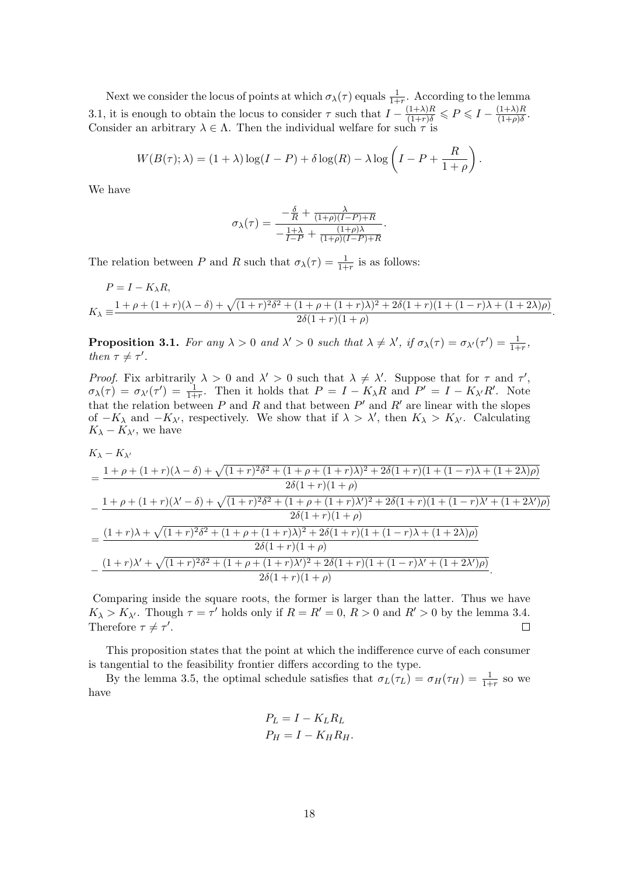Next we consider the locus of points at which  $\sigma_{\lambda}(\tau)$  equals  $\frac{1}{1+r}$ . According to the lemma 1+*r* 3.1, it is enough to obtain the locus to consider  $\tau$  such that  $I - \frac{(1+\lambda)R}{(1+r)\delta} \leqslant P \leqslant I - \frac{(1+\lambda)R}{(1+\rho)\delta}$  $\frac{(1+\lambda)R}{(1+\rho)\delta}$ . Consider an arbitrary  $\lambda \in \Lambda$ . Then the individual welfare for such  $\tau$  is

$$
W(B(\tau);\lambda) = (1+\lambda)\log(I-P) + \delta\log(R) - \lambda\log\left(I-P+\frac{R}{1+\rho}\right).
$$

We have

$$
\sigma_{\lambda}(\tau) = \frac{-\frac{\delta}{R} + \frac{\lambda}{(1+\rho)(I-P)+R}}{-\frac{1+\lambda}{I-P} + \frac{(1+\rho)\lambda}{(1+\rho)(I-P)+R}}.
$$

The relation between *P* and *R* such that  $\sigma_{\lambda}(\tau) = \frac{1}{1+r}$  is as follows:

$$
P = I - K_{\lambda}R,
$$
  
\n
$$
K_{\lambda} \equiv \frac{1 + \rho + (1 + r)(\lambda - \delta) + \sqrt{(1 + r)^2 \delta^2 + (1 + \rho + (1 + r)\lambda)^2 + 2\delta(1 + r)(1 + (1 - r)\lambda + (1 + 2\lambda)\rho)}}{2\delta(1 + r)(1 + \rho)}.
$$

**Proposition 3.1.** For any  $\lambda > 0$  and  $\lambda' > 0$  such that  $\lambda \neq \lambda'$ , if  $\sigma_{\lambda}(\tau) = \sigma_{\lambda'}(\tau') = \frac{1}{1+r}$ , *then*  $\tau \neq \tau'$ .

*Proof.* Fix arbitrarily  $\lambda > 0$  and  $\lambda' > 0$  such that  $\lambda \neq \lambda'$ . Suppose that for  $\tau$  and  $\tau'$ ,  $\sigma_{\lambda}(\tau) = \sigma_{\lambda'}(\tau') = \frac{1}{1+r}$ . Then it holds that  $P = I - K_{\lambda}R$  and  $P' = I - K_{\lambda'}R'$ . Note that the relation between  $P$  and  $R$  and that between  $P'$  and  $R'$  are linear with the slopes of  $−K_{\lambda}$  and  $−K_{\lambda'}$ , respectively. We show that if  $\lambda > \lambda'$ , then  $K_{\lambda} > K_{\lambda'}$ . Calculating  $K_{\lambda} - K_{\lambda}$ <sup>*'*</sup>, we have

$$
K_{\lambda} - K_{\lambda'}
$$
\n
$$
= \frac{1 + \rho + (1 + r)(\lambda - \delta) + \sqrt{(1 + r)^2 \delta^2 + (1 + \rho + (1 + r)\lambda)^2 + 2\delta(1 + r)(1 + (1 - r)\lambda + (1 + 2\lambda)\rho)}}{2\delta(1 + r)(1 + \rho)}
$$
\n
$$
- \frac{1 + \rho + (1 + r)(\lambda' - \delta) + \sqrt{(1 + r)^2 \delta^2 + (1 + \rho + (1 + r)\lambda')^2 + 2\delta(1 + r)(1 + (1 - r)\lambda' + (1 + 2\lambda')\rho)}}{2\delta(1 + r)(1 + \rho)}
$$
\n
$$
= \frac{(1 + r)\lambda + \sqrt{(1 + r)^2 \delta^2 + (1 + \rho + (1 + r)\lambda)^2 + 2\delta(1 + r)(1 + (1 - r)\lambda + (1 + 2\lambda)\rho)}}{2\delta(1 + r)(1 + \rho)}
$$
\n
$$
- \frac{(1 + r)\lambda' + \sqrt{(1 + r)^2 \delta^2 + (1 + \rho + (1 + r)\lambda')^2 + 2\delta(1 + r)(1 + (1 - r)\lambda' + (1 + 2\lambda')\rho)}}{2\delta(1 + r)(1 + \rho)}
$$

Comparing inside the square roots, the former is larger than the latter. Thus we have *K*<sub> $\lambda$ </sub> > *K*<sub> $\lambda$ </sub><sup>*'*. Though *τ* = *τ*<sup>*'*</sup> holds only if *R* = *R'* = 0, *R* > 0 and *R'* > 0 by the lemma 3.4.</sup> Therefore  $\tau \neq \tau'$ .  $\Box$ 

This proposition states that the point at which the indifference curve of each consumer is tangential to the feasibility frontier differs according to the type.

By the lemma 3.5, the optimal schedule satisfies that  $\sigma_L(\tau_L) = \sigma_H(\tau_H) = \frac{1}{1+r}$  so we have

$$
P_L = I - K_L R_L
$$
  

$$
P_H = I - K_H R_H.
$$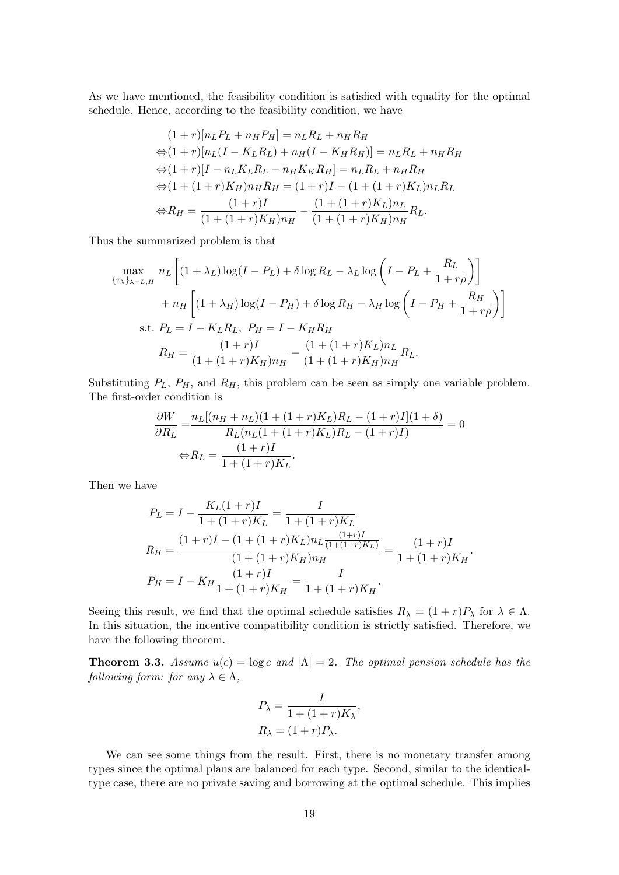As we have mentioned, the feasibility condition is satisfied with equality for the optimal schedule. Hence, according to the feasibility condition, we have

$$
(1+r)[n_L P_L + n_H P_H] = n_L R_L + n_H R_H
$$
  
\n
$$
\Leftrightarrow (1+r)[n_L(I - K_L R_L) + n_H(I - K_H R_H)] = n_L R_L + n_H R_H
$$
  
\n
$$
\Leftrightarrow (1+r)[I - n_L K_L R_L - n_H K_K R_H] = n_L R_L + n_H R_H
$$
  
\n
$$
\Leftrightarrow (1 + (1+r)K_H) n_H R_H = (1+r)I - (1 + (1+r)K_L) n_L R_L
$$
  
\n
$$
\Leftrightarrow R_H = \frac{(1+r)I}{(1 + (1+r)K_H) n_H} - \frac{(1 + (1+r)K_L) n_L}{(1 + (1+r)K_H) n_H} R_L.
$$

Thus the summarized problem is that

$$
\max_{\{\tau_{\lambda}\}_{\lambda=L,H}} n_L \left[ (1 + \lambda_L) \log(I - P_L) + \delta \log R_L - \lambda_L \log \left( I - P_L + \frac{R_L}{1 + r\rho} \right) \right] + n_H \left[ (1 + \lambda_H) \log(I - P_H) + \delta \log R_H - \lambda_H \log \left( I - P_H + \frac{R_H}{1 + r\rho} \right) \right] \text{s.t. } P_L = I - K_L R_L, P_H = I - K_H R_H R_H = \frac{(1+r)I}{(1 + (1+r)K_H)n_H} - \frac{(1 + (1+r)K_L)n_L}{(1 + (1+r)K_H)n_H} R_L.
$$

Substituting  $P_L$ ,  $P_H$ , and  $R_H$ , this problem can be seen as simply one variable problem. The first-order condition is

$$
\frac{\partial W}{\partial R_L} = \frac{n_L[(n_H + n_L)(1 + (1+r)K_L)R_L - (1+r)I](1+\delta)}{R_L(n_L(1 + (1+r)K_L)R_L - (1+r)I)} = 0
$$
  

$$
\Leftrightarrow R_L = \frac{(1+r)I}{1 + (1+r)K_L}.
$$

Then we have

$$
P_L = I - \frac{K_L(1+r)I}{1+(1+r)K_L} = \frac{I}{1+(1+r)K_L}
$$
  
\n
$$
R_H = \frac{(1+r)I - (1+(1+r)K_L)n_L \frac{(1+r)I}{(1+(1+r)K_L)}}{(1+(1+r)K_H)n_H} = \frac{(1+r)I}{1+(1+r)K_H}.
$$
  
\n
$$
P_H = I - K_H \frac{(1+r)I}{1+(1+r)K_H} = \frac{I}{1+(1+r)K_H}.
$$

Seeing this result, we find that the optimal schedule satisfies  $R_{\lambda} = (1 + r)P_{\lambda}$  for  $\lambda \in \Lambda$ . In this situation, the incentive compatibility condition is strictly satisfied. Therefore, we have the following theorem.

**Theorem 3.3.** *Assume*  $u(c) = \log c$  *and*  $|\Lambda| = 2$ *. The optimal pension schedule has the following form: for any*  $\lambda \in \Lambda$ ,

$$
P_{\lambda} = \frac{I}{1 + (1 + r)K_{\lambda}},
$$

$$
R_{\lambda} = (1 + r)P_{\lambda}.
$$

We can see some things from the result. First, there is no monetary transfer among types since the optimal plans are balanced for each type. Second, similar to the identicaltype case, there are no private saving and borrowing at the optimal schedule. This implies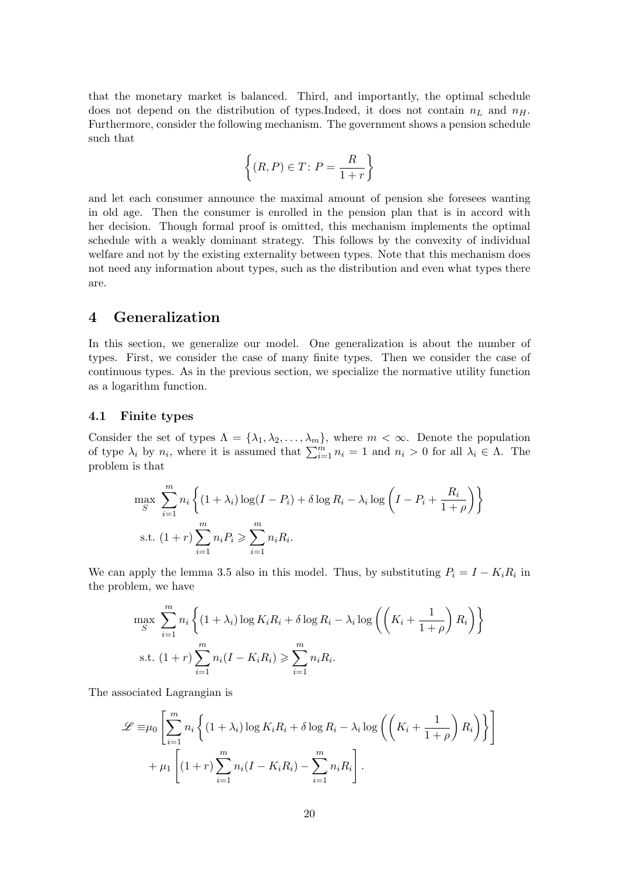that the monetary market is balanced. Third, and importantly, the optimal schedule does not depend on the distribution of types.Indeed, it does not contain *n<sup>L</sup>* and *nH*. Furthermore, consider the following mechanism. The government shows a pension schedule such that

$$
\left\{ (R,P) \in T \colon P = \frac{R}{1+r} \right\}
$$

and let each consumer announce the maximal amount of pension she foresees wanting in old age. Then the consumer is enrolled in the pension plan that is in accord with her decision. Though formal proof is omitted, this mechanism implements the optimal schedule with a weakly dominant strategy. This follows by the convexity of individual welfare and not by the existing externality between types. Note that this mechanism does not need any information about types, such as the distribution and even what types there are.

# **4 Generalization**

In this section, we generalize our model. One generalization is about the number of types. First, we consider the case of many finite types. Then we consider the case of continuous types. As in the previous section, we specialize the normative utility function as a logarithm function.

#### **4.1 Finite types**

Consider the set of types  $\Lambda = {\lambda_1, \lambda_2, ..., \lambda_m}$ , where  $m < \infty$ . Denote the population of type  $\lambda_i$  by  $n_i$ , where it is assumed that  $\sum_{i=1}^m n_i = 1$  and  $n_i > 0$  for all  $\lambda_i \in \Lambda$ . The problem is that

$$
\max_{S} \sum_{i=1}^{m} n_i \left\{ (1 + \lambda_i) \log(I - P_i) + \delta \log R_i - \lambda_i \log \left( I - P_i + \frac{R_i}{1 + \rho} \right) \right\}
$$
  
s.t. 
$$
(1 + r) \sum_{i=1}^{m} n_i P_i \ge \sum_{i=1}^{m} n_i R_i.
$$

We can apply the lemma 3.5 also in this model. Thus, by substituting  $P_i = I - K_i R_i$  in the problem, we have

$$
\max_{S} \sum_{i=1}^{m} n_i \left\{ (1 + \lambda_i) \log K_i R_i + \delta \log R_i - \lambda_i \log \left( \left( K_i + \frac{1}{1 + \rho} \right) R_i \right) \right\}
$$
  
s.t. 
$$
(1 + r) \sum_{i=1}^{m} n_i (I - K_i R_i) \geqslant \sum_{i=1}^{m} n_i R_i.
$$

The associated Lagrangian is

$$
\mathcal{L} \equiv \mu_0 \left[ \sum_{i=1}^m n_i \left\{ (1 + \lambda_i) \log K_i R_i + \delta \log R_i - \lambda_i \log \left( \left( K_i + \frac{1}{1 + \rho} \right) R_i \right) \right\} \right] + \mu_1 \left[ (1 + r) \sum_{i=1}^m n_i (I - K_i R_i) - \sum_{i=1}^m n_i R_i \right].
$$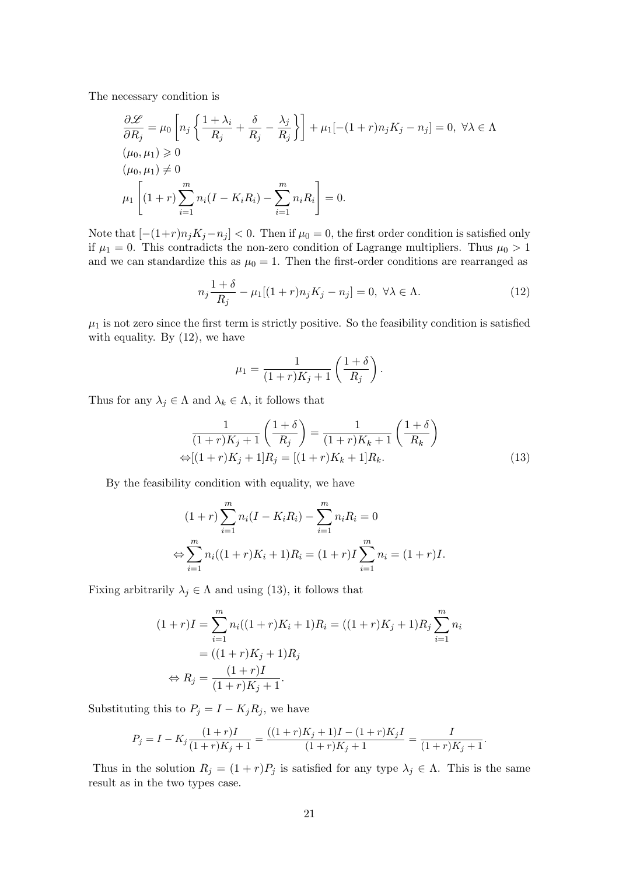The necessary condition is

$$
\frac{\partial \mathcal{L}}{\partial R_j} = \mu_0 \left[ n_j \left\{ \frac{1 + \lambda_i}{R_j} + \frac{\delta}{R_j} - \frac{\lambda_j}{R_j} \right\} \right] + \mu_1 \left[ -(1 + r) n_j K_j - n_j \right] = 0, \ \forall \lambda \in \Lambda
$$
  
\n
$$
(\mu_0, \mu_1) \ge 0
$$
  
\n
$$
(\mu_0, \mu_1) \ne 0
$$
  
\n
$$
\mu_1 \left[ (1 + r) \sum_{i=1}^m n_i (I - K_i R_i) - \sum_{i=1}^m n_i R_i \right] = 0.
$$

Note that  $[-(1+r)n_jK_j - n_j] < 0$ . Then if  $\mu_0 = 0$ , the first order condition is satisfied only if  $\mu_1 = 0$ . This contradicts the non-zero condition of Lagrange multipliers. Thus  $\mu_0 > 1$ and we can standardize this as  $\mu_0 = 1$ . Then the first-order conditions are rearranged as

$$
n_j \frac{1+\delta}{R_j} - \mu_1[(1+r)n_j K_j - n_j] = 0, \ \forall \lambda \in \Lambda.
$$
 (12)

 $\mu_1$  is not zero since the first term is strictly positive. So the feasibility condition is satisfied with equality. By  $(12)$ , we have

$$
\mu_1 = \frac{1}{(1+r)K_j + 1} \left( \frac{1+\delta}{R_j} \right).
$$

Thus for any  $\lambda_j \in \Lambda$  and  $\lambda_k \in \Lambda$ , it follows that

$$
\frac{1}{(1+r)K_j+1} \left(\frac{1+\delta}{R_j}\right) = \frac{1}{(1+r)K_k+1} \left(\frac{1+\delta}{R_k}\right)
$$
  

$$
\Leftrightarrow [(1+r)K_j+1]R_j = [(1+r)K_k+1]R_k.
$$
 (13)

By the feasibility condition with equality, we have

$$
(1+r)\sum_{i=1}^{m} n_i (I - K_i R_i) - \sum_{i=1}^{m} n_i R_i = 0
$$
  
\n
$$
\Leftrightarrow \sum_{i=1}^{m} n_i ((1+r)K_i + 1)R_i = (1+r)I \sum_{i=1}^{m} n_i = (1+r)I.
$$

Fixing arbitrarily  $\lambda_j \in \Lambda$  and using (13), it follows that

$$
(1+r)I = \sum_{i=1}^{m} n_i((1+r)K_i + 1)R_i = ((1+r)K_j + 1)R_j \sum_{i=1}^{m} n_i
$$
  
= ((1+r)K\_j + 1)R\_j  

$$
\Leftrightarrow R_j = \frac{(1+r)I}{(1+r)K_j + 1}.
$$

Substituting this to  $P_j = I - K_j R_j$ , we have

$$
P_j = I - K_j \frac{(1+r)I}{(1+r)K_j + 1} = \frac{((1+r)K_j + 1)I - (1+r)K_j I}{(1+r)K_j + 1} = \frac{I}{(1+r)K_j + 1}.
$$

Thus in the solution  $R_j = (1 + r)P_j$  is satisfied for any type  $\lambda_j \in \Lambda$ . This is the same result as in the two types case.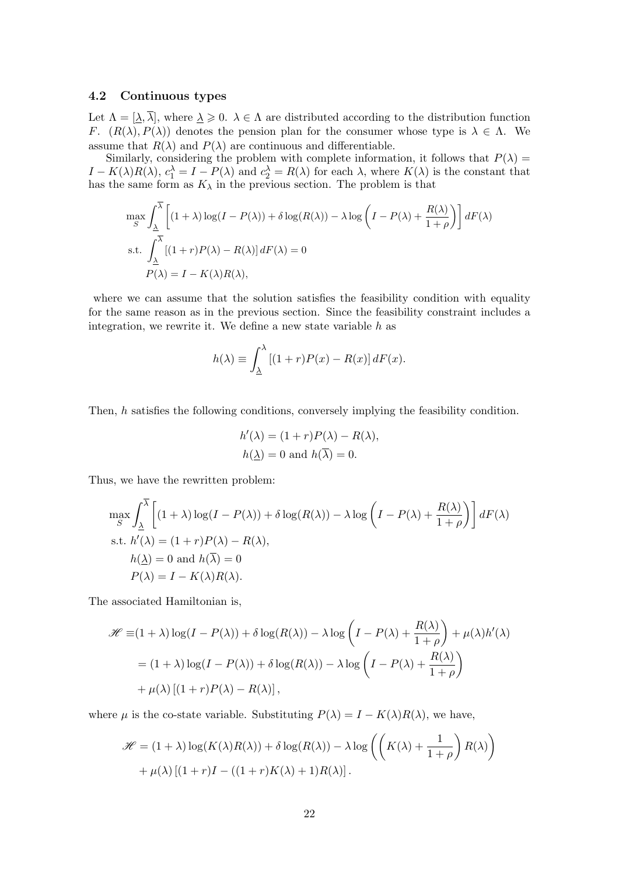#### **4.2 Continuous types**

Let  $\Lambda = [\underline{\lambda}, \overline{\lambda}]$ , where  $\underline{\lambda} \geq 0$ .  $\lambda \in \Lambda$  are distributed according to the distribution function *F*.  $(R(\lambda), P(\lambda))$  denotes the pension plan for the consumer whose type is  $\lambda \in \Lambda$ . We assume that  $R(\lambda)$  and  $P(\lambda)$  are continuous and differentiable.

Similarly, considering the problem with complete information, it follows that  $P(\lambda)$  =  $I - K(\lambda)R(\lambda)$ ,  $c_1^{\lambda} = I - P(\lambda)$  and  $c_2^{\lambda} = R(\lambda)$  for each  $\lambda$ , where  $K(\lambda)$  is the constant that has the same form as  $K_{\lambda}$  in the previous section. The problem is that

$$
\max_{S} \int_{\underline{\lambda}}^{\overline{\lambda}} \left[ (1 + \lambda) \log(I - P(\lambda)) + \delta \log(R(\lambda)) - \lambda \log \left( I - P(\lambda) + \frac{R(\lambda)}{1 + \rho} \right) \right] dF(\lambda)
$$
  
s.t. 
$$
\int_{\underline{\lambda}}^{\overline{\lambda}} \left[ (1 + r)P(\lambda) - R(\lambda) \right] dF(\lambda) = 0
$$

$$
P(\lambda) = I - K(\lambda)R(\lambda),
$$

where we can assume that the solution satisfies the feasibility condition with equality for the same reason as in the previous section. Since the feasibility constraint includes a integration, we rewrite it. We define a new state variable *h* as

$$
h(\lambda) \equiv \int_{\Delta}^{\lambda} \left[ (1+r)P(x) - R(x) \right] dF(x).
$$

Then, *h* satisfies the following conditions, conversely implying the feasibility condition.

$$
h'(\lambda) = (1+r)P(\lambda) - R(\lambda),
$$
  

$$
h(\lambda) = 0 \text{ and } h(\overline{\lambda}) = 0.
$$

Thus, we have the rewritten problem:

$$
\max_{S} \int_{\underline{\lambda}}^{\overline{\lambda}} \left[ (1+\lambda)\log(I-P(\lambda)) + \delta \log(R(\lambda)) - \lambda \log\left(I-P(\lambda) + \frac{R(\lambda)}{1+\rho}\right) \right] dF(\lambda)
$$
\ns.t.  $h'(\lambda) = (1+r)P(\lambda) - R(\lambda)$ ,  
\n $h(\underline{\lambda}) = 0$  and  $h(\overline{\lambda}) = 0$   
\n $P(\lambda) = I - K(\lambda)R(\lambda)$ .

The associated Hamiltonian is,

$$
\mathcal{H} \equiv (1 + \lambda) \log(I - P(\lambda)) + \delta \log(R(\lambda)) - \lambda \log \left( I - P(\lambda) + \frac{R(\lambda)}{1 + \rho} \right) + \mu(\lambda) h'(\lambda)
$$

$$
= (1 + \lambda) \log(I - P(\lambda)) + \delta \log(R(\lambda)) - \lambda \log \left( I - P(\lambda) + \frac{R(\lambda)}{1 + \rho} \right)
$$

$$
+ \mu(\lambda) \left[ (1 + r)P(\lambda) - R(\lambda) \right],
$$

where  $\mu$  is the co-state variable. Substituting  $P(\lambda) = I - K(\lambda)R(\lambda)$ , we have,

$$
\mathcal{H} = (1 + \lambda) \log(K(\lambda)R(\lambda)) + \delta \log(R(\lambda)) - \lambda \log\left(\left(K(\lambda) + \frac{1}{1+\rho}\right)R(\lambda)\right) + \mu(\lambda)\left[(1+r)I - ((1+r)K(\lambda) + 1)R(\lambda)\right].
$$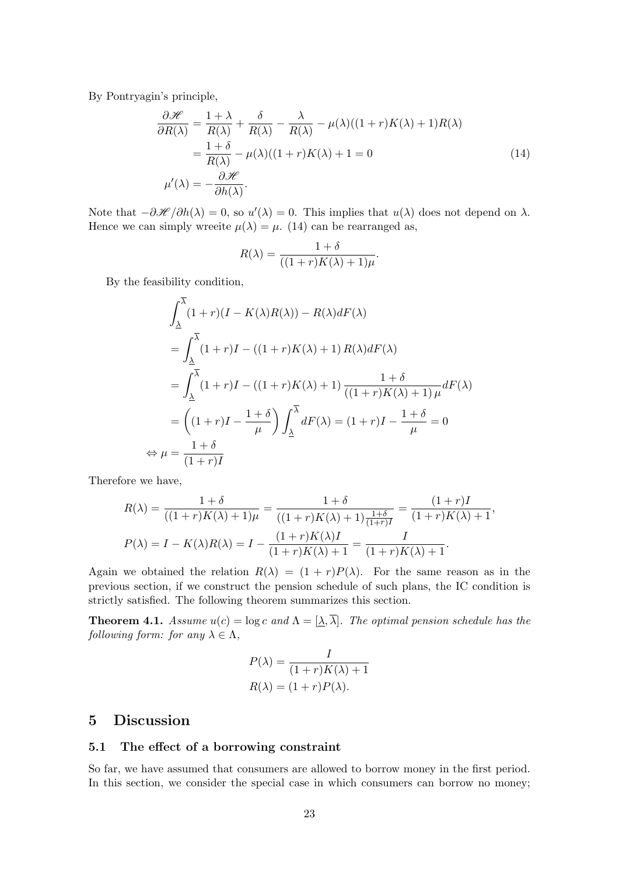By Pontryagin's principle,

$$
\frac{\partial \mathcal{H}}{\partial R(\lambda)} = \frac{1 + \lambda}{R(\lambda)} + \frac{\delta}{R(\lambda)} - \frac{\lambda}{R(\lambda)} - \mu(\lambda)((1 + r)K(\lambda) + 1)R(\lambda)
$$
  
= 
$$
\frac{1 + \delta}{R(\lambda)} - \mu(\lambda)((1 + r)K(\lambda) + 1 = 0
$$
  

$$
\mu'(\lambda) = -\frac{\partial \mathcal{H}}{\partial h(\lambda)}.
$$
 (14)

Note that  $-\partial \mathcal{H}/\partial h(\lambda) = 0$ , so  $u'(\lambda) = 0$ . This implies that  $u(\lambda)$  does not depend on  $\lambda$ . Hence we can simply wreefte  $\mu(\lambda) = \mu$ . (14) can be rearranged as,

$$
R(\lambda) = \frac{1+\delta}{((1+r)K(\lambda)+1)\mu}.
$$

By the feasibility condition,

$$
\int_{\Delta}^{\overline{\lambda}} (1+r)(I - K(\lambda)R(\lambda)) - R(\lambda)dF(\lambda)
$$
  
= 
$$
\int_{\Delta}^{\overline{\lambda}} (1+r)I - ((1+r)K(\lambda) + 1)R(\lambda)dF(\lambda)
$$
  
= 
$$
\int_{\Delta}^{\overline{\lambda}} (1+r)I - ((1+r)K(\lambda) + 1) \frac{1+\delta}{((1+r)K(\lambda) + 1)\mu}dF(\lambda)
$$
  
= 
$$
((1+r)I - \frac{1+\delta}{\mu}) \int_{\Delta}^{\overline{\lambda}} dF(\lambda) = (1+r)I - \frac{1+\delta}{\mu} = 0
$$
  

$$
\mu = \frac{1+\delta}{(1+r)I}
$$

Therefore we have,

*⇔ µ* =

$$
R(\lambda) = \frac{1+\delta}{((1+r)K(\lambda)+1)\mu} = \frac{1+\delta}{((1+r)K(\lambda)+1)\frac{1+\delta}{(1+r)I}} = \frac{(1+r)I}{(1+r)K(\lambda)+1},
$$
  

$$
P(\lambda) = I - K(\lambda)R(\lambda) = I - \frac{(1+r)K(\lambda)I}{(1+r)K(\lambda)+1} = \frac{I}{(1+r)K(\lambda)+1}.
$$

Again we obtained the relation  $R(\lambda) = (1 + r)P(\lambda)$ . For the same reason as in the previous section, if we construct the pension schedule of such plans, the IC condition is strictly satisfied. The following theorem summarizes this section.

**Theorem 4.1.** *Assume*  $u(c) = \log c$  *and*  $\Lambda = [\lambda, \overline{\lambda}]$ *. The optimal pension schedule has the following form: for any*  $\lambda \in \Lambda$ ,

$$
P(\lambda) = \frac{I}{(1+r)K(\lambda) + 1}
$$

$$
R(\lambda) = (1+r)P(\lambda).
$$

### **5 Discussion**

#### **5.1 The effect of a borrowing constraint**

So far, we have assumed that consumers are allowed to borrow money in the first period. In this section, we consider the special case in which consumers can borrow no money;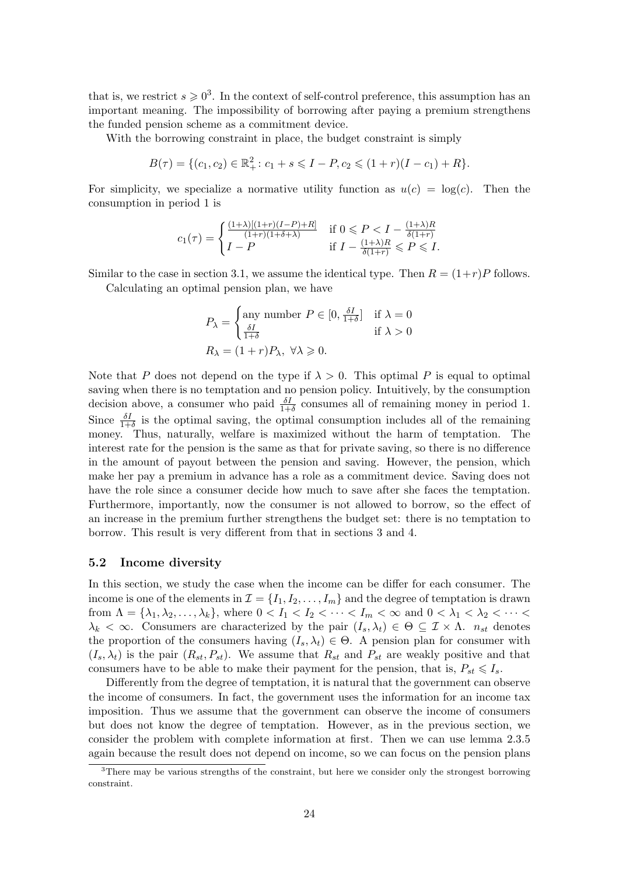that is, we restrict  $s \geq 0^3$ . In the context of self-control preference, this assumption has an important meaning. The impossibility of borrowing after paying a premium strengthens the funded pension scheme as a commitment device.

With the borrowing [c](#page-23-0)onstraint in place, the budget constraint is simply

$$
B(\tau) = \{ (c_1, c_2) \in \mathbb{R}_+^2 \colon c_1 + s \leqslant I - P, c_2 \leqslant (1+r)(I - c_1) + R \}.
$$

For simplicity, we specialize a normative utility function as  $u(c) = \log(c)$ . Then the consumption in period 1 is

$$
c_1(\tau) = \begin{cases} \frac{(1+\lambda)[(1+r)(I-P)+R]}{(1+r)(1+\delta+\lambda)} & \text{if } 0 \leqslant P < I - \frac{(1+\lambda)R}{\delta(1+r)} \\ I-P & \text{if } I - \frac{(1+\lambda)R}{\delta(1+r)} \leqslant P \leqslant I. \end{cases}
$$

Similar to the case in section 3.1, we assume the identical type. Then  $R = (1+r)P$  follows.

Calculating an optimal pension plan, we have

$$
P_{\lambda} = \begin{cases} \text{any number } P \in [0, \frac{\delta I}{1+\delta}] & \text{if } \lambda = 0\\ \frac{\delta I}{1+\delta} & \text{if } \lambda > 0 \end{cases}
$$
\n
$$
R_{\lambda} = (1+r)P_{\lambda}, \ \forall \lambda \geqslant 0.
$$

Note that *P* does not depend on the type if  $\lambda > 0$ . This optimal *P* is equal to optimal saving when there is no temptation and no pension policy. Intuitively, by the consumption decision above, a consumer who paid  $\frac{\delta I}{1+\delta}$  consumes all of remaining money in period 1. Since  $\frac{\delta I}{1+\delta}$  is the optimal saving, the optimal consumption includes all of the remaining money. Thus, naturally, welfare is maximized without the harm of temptation. The interest rate for the pension is the same as that for private saving, so there is no difference in the amount of payout between the pension and saving. However, the pension, which make her pay a premium in advance has a role as a commitment device. Saving does not have the role since a consumer decide how much to save after she faces the temptation. Furthermore, importantly, now the consumer is not allowed to borrow, so the effect of an increase in the premium further strengthens the budget set: there is no temptation to borrow. This result is very different from that in sections 3 and 4.

#### **5.2 Income diversity**

In this section, we study the case when the income can be differ for each consumer. The income is one of the elements in  $\mathcal{I} = \{I_1, I_2, \ldots, I_m\}$  and the degree of temptation is drawn from  $\Lambda = {\lambda_1, \lambda_2, ..., \lambda_k}$ , where  $0 < I_1 < I_2 < ... < I_m < \infty$  and  $0 < \lambda_1 < \lambda_2 < ... <$  $\lambda_k < \infty$ . Consumers are characterized by the pair  $(I_s, \lambda_t) \in \Theta \subseteq \mathcal{I} \times \Lambda$ . *n<sub>st</sub>* denotes the proportion of the consumers having  $(I_s, \lambda_t) \in \Theta$ . A pension plan for consumer with  $(I_s, \lambda_t)$  is the pair  $(R_{st}, P_{st})$ . We assume that  $R_{st}$  and  $P_{st}$  are weakly positive and that consumers have to be able to make their payment for the pension, that is,  $P_{st} \leq I_s$ .

Differently from the degree of temptation, it is natural that the government can observe the income of consumers. In fact, the government uses the information for an income tax imposition. Thus we assume that the government can observe the income of consumers but does not know the degree of temptation. However, as in the previous section, we consider the problem with complete information at first. Then we can use lemma 2.3.5 again because the result does not depend on income, so we can focus on the pension plans

<span id="page-23-0"></span> $3$ There may be various strengths of the constraint, but here we consider only the strongest borrowing constraint.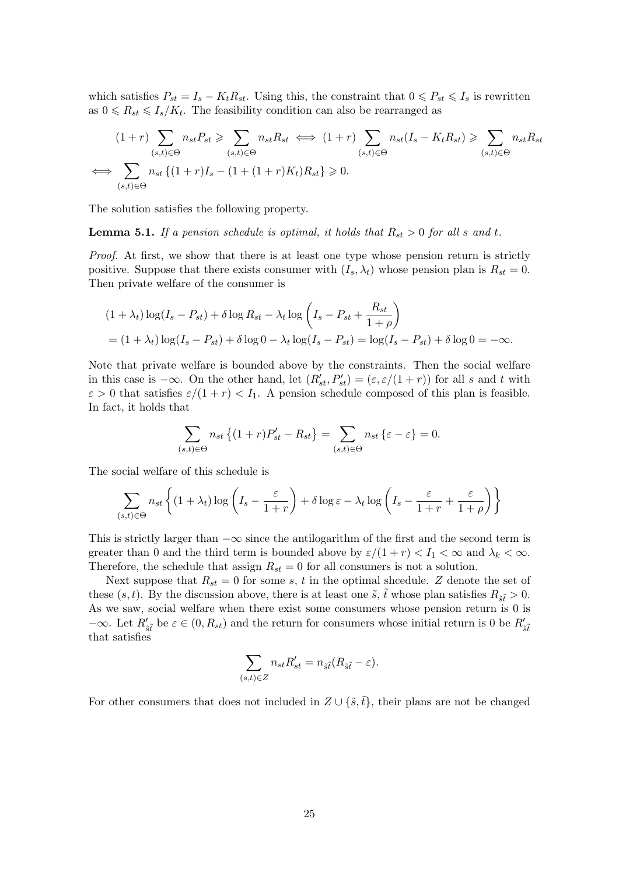which satisfies  $P_{st} = I_s - K_t R_{st}$ . Using this, the constraint that  $0 \le P_{st} \le I_s$  is rewritten as  $0 \le R_{st} \le I_s/K_t$ . The feasibility condition can also be rearranged as

$$
(1+r)\sum_{(s,t)\in\Theta} n_{st} P_{st} \ge \sum_{(s,t)\in\Theta} n_{st} R_{st} \iff (1+r)\sum_{(s,t)\in\Theta} n_{st} (I_s - K_t R_{st}) \ge \sum_{(s,t)\in\Theta} n_{st} R_{st}
$$
  

$$
\iff \sum_{(s,t)\in\Theta} n_{st} \{(1+r)I_s - (1+(1+r)K_t)R_{st}\} \ge 0.
$$

The solution satisfies the following property.

<span id="page-24-0"></span>**Lemma 5.1.** *If a pension schedule is optimal, it holds that*  $R_{st} > 0$  *for all s and t*.

*Proof.* At first, we show that there is at least one type whose pension return is strictly positive. Suppose that there exists consumer with  $(I_s, \lambda_t)$  whose pension plan is  $R_{st} = 0$ . Then private welfare of the consumer is

$$
(1 + \lambda_t) \log(I_s - P_{st}) + \delta \log R_{st} - \lambda_t \log \left( I_s - P_{st} + \frac{R_{st}}{1 + \rho} \right)
$$
  
= 
$$
(1 + \lambda_t) \log(I_s - P_{st}) + \delta \log 0 - \lambda_t \log(I_s - P_{st}) = \log(I_s - P_{st}) + \delta \log 0 = -\infty.
$$

Note that private welfare is bounded above by the constraints. Then the social welfare in this case is  $-\infty$ . On the other hand, let  $(R'_{st}, P'_{st}) = (\varepsilon, \varepsilon/(1+r))$  for all *s* and *t* with  $\varepsilon > 0$  that satisfies  $\varepsilon/(1+r) < I_1$ . A pension schedule composed of this plan is feasible. In fact, it holds that

$$
\sum_{(s,t)\in\Theta} n_{st} \left\{ (1+r)P'_{st} - R_{st} \right\} = \sum_{(s,t)\in\Theta} n_{st} \left\{ \varepsilon - \varepsilon \right\} = 0.
$$

The social welfare of this schedule is

$$
\sum_{(s,t)\in\Theta} n_{st} \left\{ (1+\lambda_t) \log \left( I_s - \frac{\varepsilon}{1+r} \right) + \delta \log \varepsilon - \lambda_t \log \left( I_s - \frac{\varepsilon}{1+r} + \frac{\varepsilon}{1+\rho} \right) \right\}
$$

This is strictly larger than *−∞* since the antilogarithm of the first and the second term is greater than 0 and the third term is bounded above by  $\varepsilon/(1+r) < I_1 < \infty$  and  $\lambda_k < \infty$ . Therefore, the schedule that assign  $R_{st} = 0$  for all consumers is not a solution.

Next suppose that  $R_{st} = 0$  for some *s*, *t* in the optimal shcedule. *Z* denote the set of these  $(s, t)$ . By the discussion above, there is at least one  $\tilde{s}$ ,  $\tilde{t}$  whose plan satisfies  $R_{\tilde{s}\tilde{t}} > 0$ . As we saw, social welfare when there exist some consumers whose pension return is 0 is *−∞*. Let  $R'_{\tilde{s}\tilde{t}}$  be  $\varepsilon \in (0, R_{st})$  and the return for consumers whose initial return is 0 be  $R'_{\tilde{s}\tilde{t}}$ that satisfies

$$
\sum_{(s,t)\in Z} n_{st} R'_{st} = n_{\tilde{s}\tilde{t}} (R_{\tilde{s}\tilde{t}} - \varepsilon).
$$

For other consumers that does not included in  $Z \cup {\{\tilde{s}, \tilde{t}\}}$ , their plans are not be changed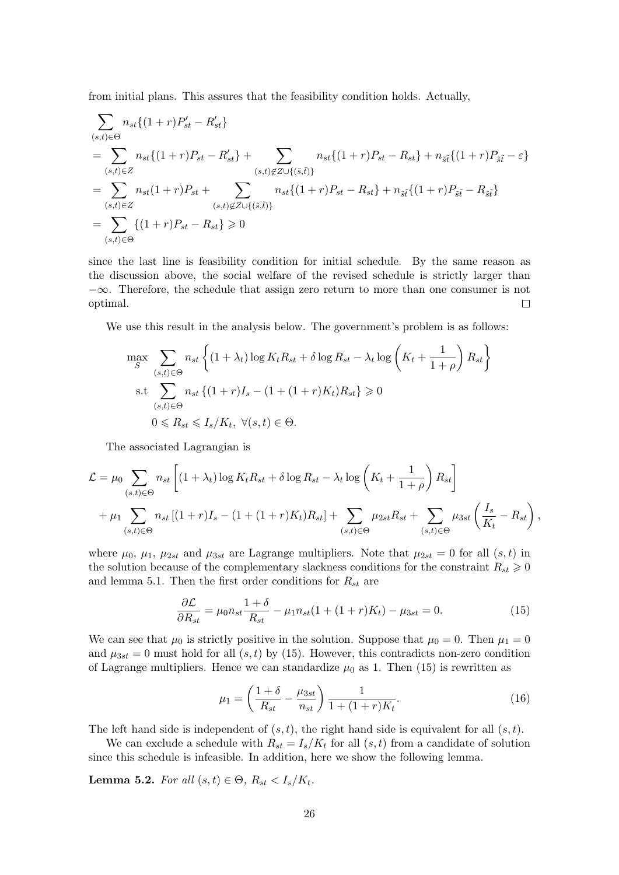from initial plans. This assures that the feasibility condition holds. Actually,

$$
\sum_{(s,t)\in\Theta} n_{st}\{(1+r)P'_{st} - R'_{st}\}\
$$
\n
$$
= \sum_{(s,t)\in\Xi} n_{st}\{(1+r)P_{st} - R'_{st}\} + \sum_{(s,t)\notin\Xi\cup\{(\tilde{s},\tilde{t})\}} n_{st}\{(1+r)P_{st} - R_{st}\} + n_{\tilde{s}\tilde{t}}\{(1+r)P_{\tilde{s}\tilde{t}} - \varepsilon\}
$$
\n
$$
= \sum_{(s,t)\in\Xi} n_{st}(1+r)P_{st} + \sum_{(s,t)\notin\Xi\cup\{(\tilde{s},\tilde{t})\}} n_{st}\{(1+r)P_{st} - R_{st}\} + n_{\tilde{s}\tilde{t}}\{(1+r)P_{\tilde{s}\tilde{t}} - R_{\tilde{s}\tilde{t}}\}
$$
\n
$$
= \sum_{(s,t)\in\Theta} \{(1+r)P_{st} - R_{st}\} \ge 0
$$

since the last line is feasibility condition for initial schedule. By the same reason as the discussion above, the social welfare of the revised schedule is strictly larger than *−∞*. Therefore, the schedule that assign zero return to more than one consumer is not optimal.  $\Box$ 

We use this result in the analysis below. The government's problem is as follows:

$$
\max_{S} \sum_{(s,t)\in\Theta} n_{st} \left\{ (1+\lambda_t) \log K_t R_{st} + \delta \log R_{st} - \lambda_t \log \left( K_t + \frac{1}{1+\rho} \right) R_{st} \right\}
$$
  
s.t 
$$
\sum_{(s,t)\in\Theta} n_{st} \left\{ (1+r)I_s - (1+(1+r)K_t)R_{st} \right\} \ge 0
$$

$$
0 \le R_{st} \le I_s/K_t, \ \forall (s,t)\in\Theta.
$$

The associated Lagrangian is

$$
\mathcal{L} = \mu_0 \sum_{(s,t) \in \Theta} n_{st} \left[ (1 + \lambda_t) \log K_t R_{st} + \delta \log R_{st} - \lambda_t \log \left( K_t + \frac{1}{1 + \rho} \right) R_{st} \right]
$$
  
+ 
$$
\mu_1 \sum_{(s,t) \in \Theta} n_{st} \left[ (1 + r)I_s - (1 + (1 + r)K_t)R_{st} \right] + \sum_{(s,t) \in \Theta} \mu_{2st} R_{st} + \sum_{(s,t) \in \Theta} \mu_{3st} \left( \frac{I_s}{K_t} - R_{st} \right),
$$

where  $\mu_0$ ,  $\mu_1$ ,  $\mu_{2st}$  and  $\mu_{3st}$  are Lagrange multipliers. Note that  $\mu_{2st} = 0$  for all  $(s, t)$  in the solution because of the complementary slackness conditions for the constraint  $R_{st} \geqslant 0$ and lemma 5.1. Then the first order conditions for *Rst* are

$$
\frac{\partial \mathcal{L}}{\partial R_{st}} = \mu_0 n_{st} \frac{1+\delta}{R_{st}} - \mu_1 n_{st} (1 + (1+r)K_t) - \mu_{3st} = 0.
$$
 (15)

We can see [tha](#page-24-0)t  $\mu_0$  is strictly positive in the solution. Suppose that  $\mu_0 = 0$ . Then  $\mu_1 = 0$ and  $\mu_{3st} = 0$  must hold for all  $(s, t)$  by (15). However, this contradicts non-zero condition of Lagrange multipliers. Hence we can standardize  $\mu_0$  as 1. Then (15) is rewritten as

<span id="page-25-1"></span><span id="page-25-0"></span>
$$
\mu_1 = \left(\frac{1+\delta}{R_{st}} - \frac{\mu_{3st}}{n_{st}}\right) \frac{1}{1 + (1+r)K_t}.\tag{16}
$$

The left hand side is independent of (*s, t*), the right hand side is equivalent for all (*s, t*).

We can exclude a schedule with  $R_{st} = I_s/K_t$  for all  $(s, t)$  from a candidate of solution since this schedule is infeasible. In addition, here we show the following lemma.

**Lemma 5.2.** *For all*  $(s, t) \in \Theta$ ,  $R_{st} < I_s/K_t$ .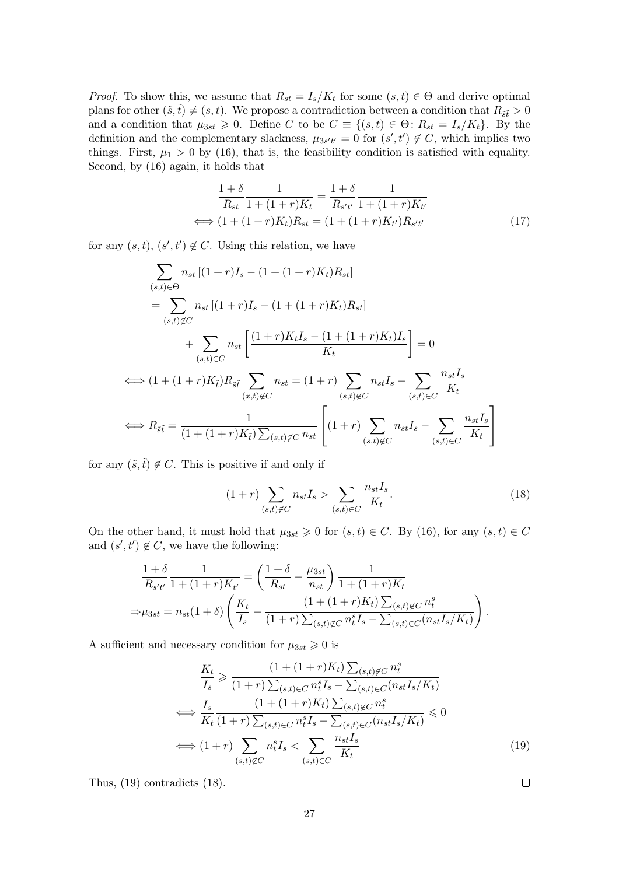*Proof.* To show this, we assume that  $R_{st} = I_s/K_t$  for some  $(s, t) \in \Theta$  and derive optimal plans for other  $(\tilde{s}, \tilde{t}) \neq (s, t)$ . We propose a contradiction between a condition that  $R_{\tilde{s}\tilde{t}} > 0$ and a condition that  $\mu_{3st} \geq 0$ . Define *C* to be  $C \equiv \{(s,t) \in \Theta : R_{st} = I_s/K_t\}$ . By the definition and the complementary slackness,  $\mu_{3s't'} = 0$  for  $(s', t') \notin C$ , which implies two things. First,  $\mu_1 > 0$  by (16), that is, the feasibility condition is satisfied with equality. Second, by (16) again, it holds that

<span id="page-26-0"></span>
$$
\frac{1+\delta}{R_{st}} \frac{1}{1+(1+r)K_t} = \frac{1+\delta}{R_{s't'}} \frac{1}{1+(1+r)K_{t'}}
$$
  

$$
\iff (1+(1+r)K_t)R_{st} = (1+(1+r)K_{t'})R_{s't'}
$$
(17)

for any  $(s, t)$ ,  $(s', t') \notin C$ . Using this relation, we have

$$
\sum_{(s,t)\in\Theta} n_{st} [(1+r)I_s - (1+(1+r)K_t)R_{st}]
$$
\n
$$
= \sum_{(s,t)\notin C} n_{st} [(1+r)I_s - (1+(1+r)K_t)R_{st}]
$$
\n
$$
+ \sum_{(s,t)\in C} n_{st} \left[ \frac{(1+r)K_tI_s - (1+(1+r)K_t)I_s}{K_t} \right] = 0
$$
\n
$$
\iff (1+(1+r)K_{\tilde{t}})R_{\tilde{s}\tilde{t}} \sum_{(x,t)\notin C} n_{st} = (1+r) \sum_{(s,t)\notin C} n_{st}I_s - \sum_{(s,t)\in C} \frac{n_{st}I_s}{K_t}
$$
\n
$$
\iff R_{\tilde{s}\tilde{t}} = \frac{1}{(1+(1+r)K_{\tilde{t}})\sum_{(s,t)\notin C} n_{st}} \left[ (1+r) \sum_{(s,t)\notin C} n_{st}I_s - \sum_{(s,t)\in C} \frac{n_{st}I_s}{K_t} \right]
$$

for any  $(\tilde{s}, \tilde{t}) \notin C$ . This is positive if and only if

$$
(1+r)\sum_{(s,t)\notin C} n_{st} I_s > \sum_{(s,t)\in C} \frac{n_{st} I_s}{K_t}.\tag{18}
$$

On the other hand, it must hold that  $\mu_{3st} \geq 0$  for  $(s, t) \in C$ . By (16), for any  $(s, t) \in C$ and  $(s', t') \notin C$ , we have the following:

$$
\frac{1+\delta}{R_{s't'}} \frac{1}{1+(1+r)K_{t'}} = \left(\frac{1+\delta}{R_{st}} - \frac{\mu_{3st}}{n_{st}}\right) \frac{1}{1+(1+r)K_t}
$$

$$
\Rightarrow \mu_{3st} = n_{st}(1+\delta) \left(\frac{K_t}{I_s} - \frac{(1+(1+r)K_t)\sum_{(s,t)\notin C} n_t^s}{(1+r)\sum_{(s,t)\notin C} n_t^s I_s - \sum_{(s,t)\in C} (n_{st}I_s/K_t)}\right).
$$

A sufficient and necessary condition for  $\mu_{3st} \geq 0$  is

$$
\frac{K_t}{I_s} \geq \frac{(1 + (1 + r)K_t) \sum_{(s,t)\notin C} n_t^s}{(1 + r) \sum_{(s,t)\in C} n_t^s I_s - \sum_{(s,t)\in C} (n_{st}I_s/K_t)}
$$
\n
$$
\iff \frac{I_s}{K_t} \frac{(1 + (1 + r)K_t) \sum_{(s,t)\notin C} n_t^s}{(1 + r) \sum_{(s,t)\in C} n_t^s I_s - \sum_{(s,t)\in C} (n_{st}I_s/K_t)} \leq 0
$$
\n
$$
\iff (1 + r) \sum_{(s,t)\notin C} n_t^s I_s < \sum_{(s,t)\in C} \frac{n_{st}I_s}{K_t} \tag{19}
$$

Thus, (19) contradicts (18).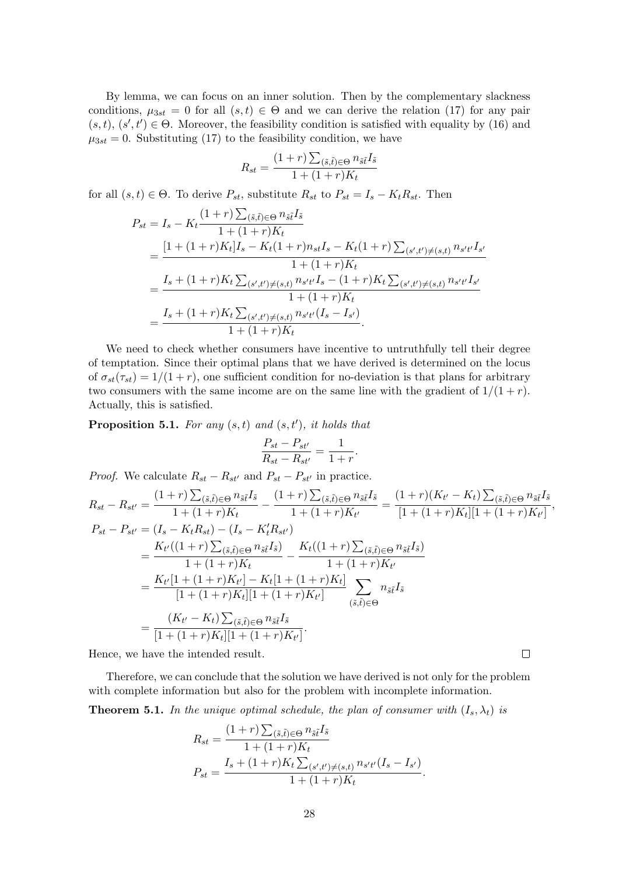By lemma, we can focus on an inner solution. Then by the complementary slackness conditions,  $\mu_{3st} = 0$  for all  $(s, t) \in \Theta$  and we can derive the relation (17) for any pair  $(s, t), (s', t') \in \Theta$ . Moreover, the feasibility condition is satisfied with equality by (16) and  $\mu_{3st} = 0$ . Substituting (17) to the feasibility condition, we have

$$
R_{st} = \frac{(1+r)\sum_{(\tilde{s},\tilde{t})\in\Theta}n_{\tilde{s}\tilde{t}}I_{\tilde{s}}}{1+(1+r)K_t}
$$

for all  $(s, t) \in \Theta$ . To de[rive](#page-26-0)  $P_{st}$ , substitute  $R_{st}$  to  $P_{st} = I_s - K_t R_{st}$ . Then

$$
P_{st} = I_s - K_t \frac{(1+r)\sum_{(\tilde{s},\tilde{t})\in\Theta} n_{\tilde{s}\tilde{t}} I_{\tilde{s}}}{1 + (1+r)K_t}
$$
  
= 
$$
\frac{[1 + (1+r)K_t]I_s - K_t(1+r)n_{st}I_s - K_t(1+r)\sum_{(s',t')\neq (s,t)} n_{s't'}I_{s'}}{1 + (1+r)K_t}
$$
  
= 
$$
\frac{I_s + (1+r)K_t\sum_{(s',t')\neq (s,t)} n_{s't'}I_s - (1+r)K_t\sum_{(s',t')\neq (s,t)} n_{s't'}I_{s'}}{1 + (1+r)K_t}
$$
  
= 
$$
\frac{I_s + (1+r)K_t\sum_{(s',t')\neq (s,t)} n_{s't'}(I_s - I_{s'})}{1 + (1+r)K_t}.
$$

We need to check whether consumers have incentive to untruthfully tell their degree of temptation. Since their optimal plans that we have derived is determined on the locus of  $\sigma_{st}(\tau_{st}) = 1/(1+r)$ , one sufficient condition for no-deviation is that plans for arbitrary two consumers with the same income are on the same line with the gradient of  $1/(1 + r)$ . Actually, this is satisfied.

**Proposition 5.1.** *For any* (*s, t*) *and* (*s, t′* )*, it holds that*

$$
\frac{P_{st} - P_{st'}}{R_{st} - R_{st'}} = \frac{1}{1+r}.
$$

*Proof.* We calculate  $R_{st} - R_{st'}$  and  $P_{st} - P_{st'}$  in practice.

$$
R_{st} - R_{st'} = \frac{(1+r)\sum_{(\tilde{s},\tilde{t})\in\Theta} n_{\tilde{s}\tilde{t}} I_{\tilde{s}}}{1 + (1+r)K_{t}} - \frac{(1+r)\sum_{(\tilde{s},\tilde{t})\in\Theta} n_{\tilde{s}\tilde{t}} I_{\tilde{s}}}{1 + (1+r)K_{t'}} = \frac{(1+r)(K_{t'} - K_{t})\sum_{(\tilde{s},\tilde{t})\in\Theta} n_{\tilde{s}\tilde{t}} I_{\tilde{s}}}{[1 + (1+r)K_{t}][1 + (1+r)K_{t'}]},
$$
  
\n
$$
P_{st} - P_{st'} = (I_{s} - K_{t}R_{st}) - (I_{s} - K_{t}'R_{st'})
$$
  
\n
$$
= \frac{K_{t'}((1+r)\sum_{(\tilde{s},\tilde{t})\in\Theta} n_{\tilde{s}\tilde{t}} I_{\tilde{s}})}{1 + (1+r)K_{t}} - \frac{K_{t}((1+r)\sum_{(\tilde{s},\tilde{t})\in\Theta} n_{\tilde{s}\tilde{t}} I_{\tilde{s}}}{1 + (1+r)K_{t'}}
$$
  
\n
$$
= \frac{K_{t'}[1 + (1+r)K_{t'}] - K_{t}[1 + (1+r)K_{t}]}{[1 + (1+r)K_{t'}][1 + (1+r)K_{t'}]}
$$
  
\n
$$
\sum_{(\tilde{s},\tilde{t})\in\Theta} n_{\tilde{s}\tilde{t}} I_{\tilde{s}}
$$
  
\n
$$
= \frac{(K_{t'} - K_{t})\sum_{(\tilde{s},\tilde{t})\in\Theta} n_{\tilde{s}\tilde{t}} I_{\tilde{s}}}{[1 + (1+r)K_{t}][1 + (1+r)K_{t'}]}.
$$
  
\nHence, we have the intended result.

Hence, we have the intended result.

Therefore, we can conclude that the solution we have derived is not only for the problem with complete information but also for the problem with incomplete information.

**Theorem 5.1.** In the unique optimal schedule, the plan of consumer with  $(I_s, \lambda_t)$  is

$$
R_{st} = \frac{(1+r)\sum_{(\tilde{s},\tilde{t})\in\Theta} n_{\tilde{s}\tilde{t}}I_{\tilde{s}}}{1+(1+r)K_t}
$$
  

$$
P_{st} = \frac{I_s + (1+r)K_t\sum_{(s',t')\neq (s,t)} n_{s't'}(I_s - I_{s'})}{1+(1+r)K_t}.
$$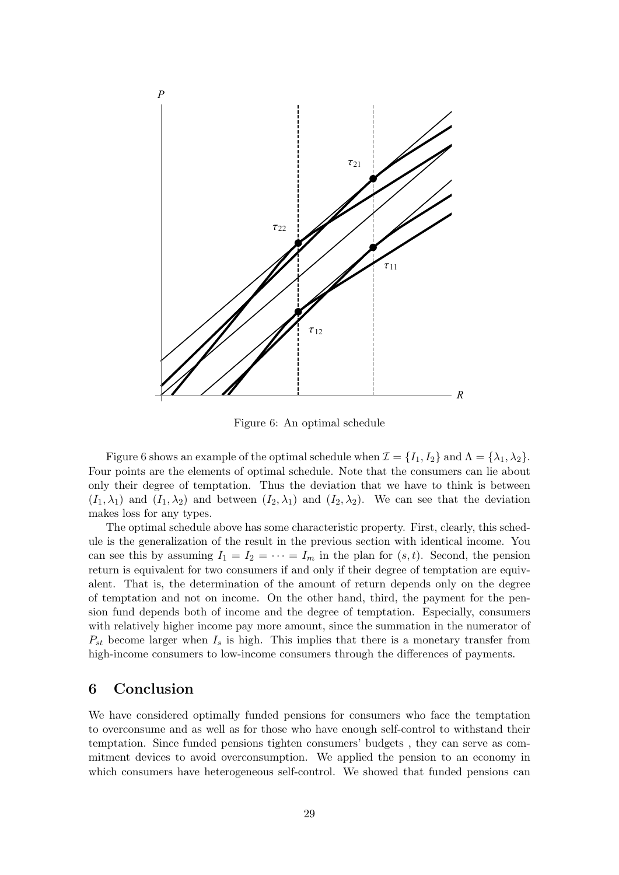

<span id="page-28-0"></span>Figure 6: An optimal schedule

Figure 6 shows an example of the optimal schedule when  $\mathcal{I} = \{I_1, I_2\}$  and  $\Lambda = \{\lambda_1, \lambda_2\}$ . Four points are the elements of optimal schedule. Note that the consumers can lie about only their degree of temptation. Thus the deviation that we have to think is between  $(I_1, \lambda_1)$  and  $(I_1, \lambda_2)$  and between  $(I_2, \lambda_1)$  and  $(I_2, \lambda_2)$ . We can see that the deviation makes loss [f](#page-28-0)or any types.

The optimal schedule above has some characteristic property. First, clearly, this schedule is the generalization of the result in the previous section with identical income. You can see this by assuming  $I_1 = I_2 = \cdots = I_m$  in the plan for  $(s, t)$ . Second, the pension return is equivalent for two consumers if and only if their degree of temptation are equivalent. That is, the determination of the amount of return depends only on the degree of temptation and not on income. On the other hand, third, the payment for the pension fund depends both of income and the degree of temptation. Especially, consumers with relatively higher income pay more amount, since the summation in the numerator of  $P_{st}$  become larger when  $I_s$  is high. This implies that there is a monetary transfer from high-income consumers to low-income consumers through the differences of payments.

### **6 Conclusion**

We have considered optimally funded pensions for consumers who face the temptation to overconsume and as well as for those who have enough self-control to withstand their temptation. Since funded pensions tighten consumers' budgets , they can serve as commitment devices to avoid overconsumption. We applied the pension to an economy in which consumers have heterogeneous self-control. We showed that funded pensions can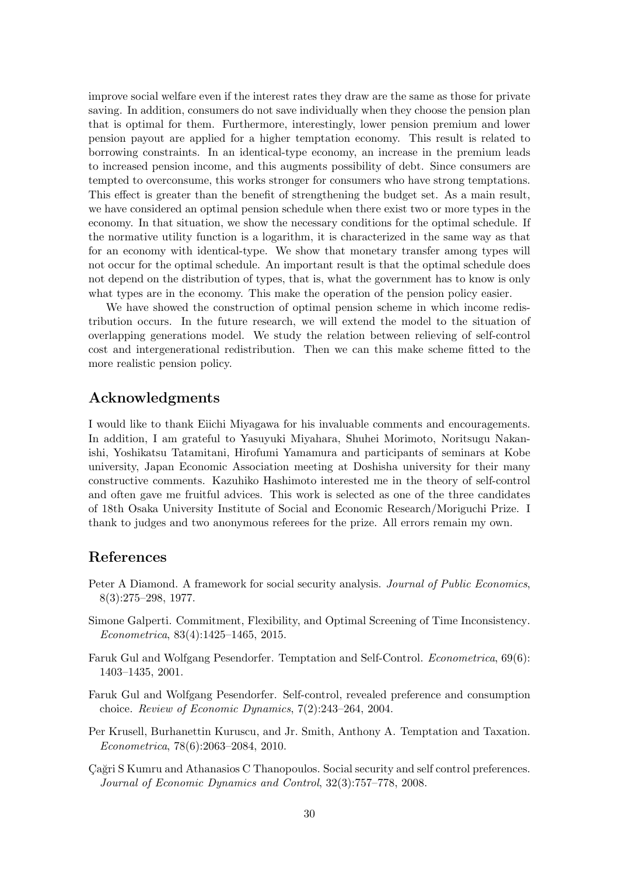improve social welfare even if the interest rates they draw are the same as those for private saving. In addition, consumers do not save individually when they choose the pension plan that is optimal for them. Furthermore, interestingly, lower pension premium and lower pension payout are applied for a higher temptation economy. This result is related to borrowing constraints. In an identical-type economy, an increase in the premium leads to increased pension income, and this augments possibility of debt. Since consumers are tempted to overconsume, this works stronger for consumers who have strong temptations. This effect is greater than the benefit of strengthening the budget set. As a main result, we have considered an optimal pension schedule when there exist two or more types in the economy. In that situation, we show the necessary conditions for the optimal schedule. If the normative utility function is a logarithm, it is characterized in the same way as that for an economy with identical-type. We show that monetary transfer among types will not occur for the optimal schedule. An important result is that the optimal schedule does not depend on the distribution of types, that is, what the government has to know is only what types are in the economy. This make the operation of the pension policy easier.

We have showed the construction of optimal pension scheme in which income redistribution occurs. In the future research, we will extend the model to the situation of overlapping generations model. We study the relation between relieving of self-control cost and intergenerational redistribution. Then we can this make scheme fitted to the more realistic pension policy.

# **Acknowledgments**

I would like to thank Eiichi Miyagawa for his invaluable comments and encouragements. In addition, I am grateful to Yasuyuki Miyahara, Shuhei Morimoto, Noritsugu Nakanishi, Yoshikatsu Tatamitani, Hirofumi Yamamura and participants of seminars at Kobe university, Japan Economic Association meeting at Doshisha university for their many constructive comments. Kazuhiko Hashimoto interested me in the theory of self-control and often gave me fruitful advices. This work is selected as one of the three candidates of 18th Osaka University Institute of Social and Economic Research/Moriguchi Prize. I thank to judges and two anonymous referees for the prize. All errors remain my own.

# **References**

- <span id="page-29-0"></span>Peter A Diamond. A framework for social security analysis. *Journal of Public Economics*, 8(3):275–298, 1977.
- <span id="page-29-4"></span>Simone Galperti. Commitment, Flexibility, and Optimal Screening of Time Inconsistency. *Econometrica*, 83(4):1425–1465, 2015.
- <span id="page-29-5"></span>Faruk Gul and Wolfgang Pesendorfer. Temptation and Self-Control. *Econometrica*, 69(6): 1403–1435, 2001.
- <span id="page-29-1"></span>Faruk Gul and Wolfgang Pesendorfer. Self-control, revealed preference and consumption choice. *Review of Economic Dynamics*, 7(2):243–264, 2004.
- <span id="page-29-3"></span>Per Krusell, Burhanettin Kuruscu, and Jr. Smith, Anthony A. Temptation and Taxation. *Econometrica*, 78(6):2063–2084, 2010.
- <span id="page-29-2"></span>Cağri S Kumru and Athanasios C Thanopoulos. Social security and self control preferences. *Journal of Economic Dynamics and Control*, 32(3):757–778, 2008.